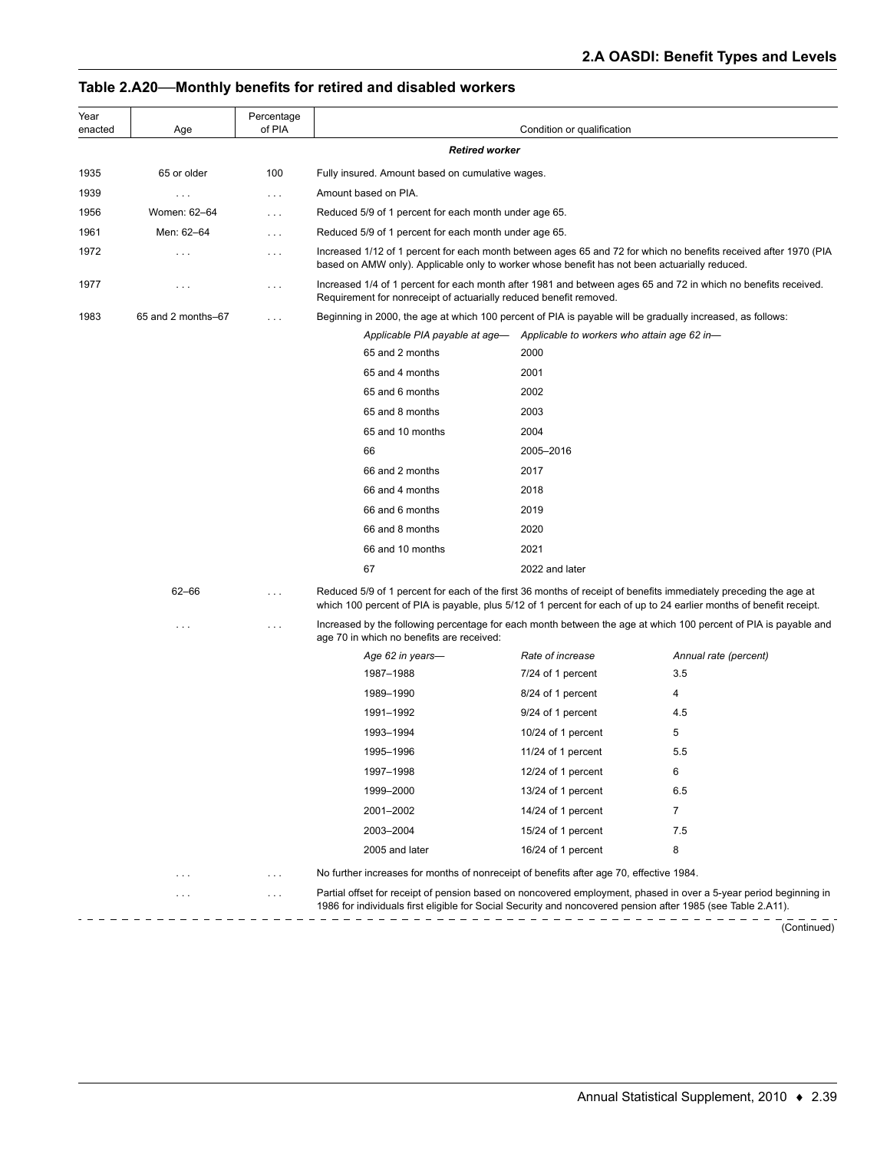# **Table 2.A20—Monthly benefits for retired and disabled workers**

| Year<br>enacted | Age                | Percentage<br>of PIA |                                                                                                                                                                                                                                         | Condition or qualification                                                                                                                                                           |                       |  |  |
|-----------------|--------------------|----------------------|-----------------------------------------------------------------------------------------------------------------------------------------------------------------------------------------------------------------------------------------|--------------------------------------------------------------------------------------------------------------------------------------------------------------------------------------|-----------------------|--|--|
|                 |                    |                      | <b>Retired worker</b>                                                                                                                                                                                                                   |                                                                                                                                                                                      |                       |  |  |
| 1935            | 65 or older        | 100                  | Fully insured. Amount based on cumulative wages.                                                                                                                                                                                        |                                                                                                                                                                                      |                       |  |  |
| 1939            | $\cdots$           | $\cdots$             | Amount based on PIA.                                                                                                                                                                                                                    |                                                                                                                                                                                      |                       |  |  |
| 1956            | Women: 62-64       | $\cdots$             | Reduced 5/9 of 1 percent for each month under age 65.                                                                                                                                                                                   |                                                                                                                                                                                      |                       |  |  |
| 1961            | Men: 62-64         | $\cdots$             | Reduced 5/9 of 1 percent for each month under age 65.                                                                                                                                                                                   |                                                                                                                                                                                      |                       |  |  |
| 1972            | $\cdots$           | $\cdots$             | Increased 1/12 of 1 percent for each month between ages 65 and 72 for which no benefits received after 1970 (PIA<br>based on AMW only). Applicable only to worker whose benefit has not been actuarially reduced.                       |                                                                                                                                                                                      |                       |  |  |
| 1977            | $\cdots$           | .                    |                                                                                                                                                                                                                                         | Increased 1/4 of 1 percent for each month after 1981 and between ages 65 and 72 in which no benefits received.<br>Requirement for nonreceipt of actuarially reduced benefit removed. |                       |  |  |
| 1983            | 65 and 2 months-67 | $\ldots$             | Beginning in 2000, the age at which 100 percent of PIA is payable will be gradually increased, as follows:                                                                                                                              |                                                                                                                                                                                      |                       |  |  |
|                 |                    |                      | Applicable PIA payable at age— Applicable to workers who attain age 62 in—                                                                                                                                                              |                                                                                                                                                                                      |                       |  |  |
|                 |                    |                      | 65 and 2 months                                                                                                                                                                                                                         | 2000                                                                                                                                                                                 |                       |  |  |
|                 |                    |                      | 65 and 4 months                                                                                                                                                                                                                         | 2001                                                                                                                                                                                 |                       |  |  |
|                 |                    |                      | 65 and 6 months                                                                                                                                                                                                                         | 2002                                                                                                                                                                                 |                       |  |  |
|                 |                    |                      | 65 and 8 months                                                                                                                                                                                                                         | 2003                                                                                                                                                                                 |                       |  |  |
|                 |                    |                      | 65 and 10 months                                                                                                                                                                                                                        | 2004                                                                                                                                                                                 |                       |  |  |
|                 |                    |                      | 66                                                                                                                                                                                                                                      | 2005-2016                                                                                                                                                                            |                       |  |  |
|                 |                    |                      | 66 and 2 months                                                                                                                                                                                                                         | 2017                                                                                                                                                                                 |                       |  |  |
|                 |                    |                      | 66 and 4 months                                                                                                                                                                                                                         | 2018                                                                                                                                                                                 |                       |  |  |
|                 |                    |                      | 66 and 6 months                                                                                                                                                                                                                         | 2019                                                                                                                                                                                 |                       |  |  |
|                 |                    |                      | 66 and 8 months                                                                                                                                                                                                                         | 2020                                                                                                                                                                                 |                       |  |  |
|                 |                    |                      | 66 and 10 months                                                                                                                                                                                                                        | 2021                                                                                                                                                                                 |                       |  |  |
|                 |                    |                      | 67                                                                                                                                                                                                                                      | 2022 and later                                                                                                                                                                       |                       |  |  |
|                 | $62 - 66$          | .                    | Reduced 5/9 of 1 percent for each of the first 36 months of receipt of benefits immediately preceding the age at<br>which 100 percent of PIA is payable, plus 5/12 of 1 percent for each of up to 24 earlier months of benefit receipt. |                                                                                                                                                                                      |                       |  |  |
|                 | .                  | $\cdots$             | Increased by the following percentage for each month between the age at which 100 percent of PIA is payable and<br>age 70 in which no benefits are received:                                                                            |                                                                                                                                                                                      |                       |  |  |
|                 |                    |                      | Age 62 in years-                                                                                                                                                                                                                        | Rate of increase                                                                                                                                                                     | Annual rate (percent) |  |  |
|                 |                    |                      | 1987-1988                                                                                                                                                                                                                               | 7/24 of 1 percent                                                                                                                                                                    | 3.5                   |  |  |
|                 |                    |                      | 1989-1990                                                                                                                                                                                                                               | 8/24 of 1 percent                                                                                                                                                                    | 4                     |  |  |
|                 |                    |                      | 1991-1992                                                                                                                                                                                                                               | 9/24 of 1 percent                                                                                                                                                                    | 4.5                   |  |  |
|                 |                    |                      | 1993-1994                                                                                                                                                                                                                               | 10/24 of 1 percent                                                                                                                                                                   | 5                     |  |  |
|                 |                    |                      | 1995-1996                                                                                                                                                                                                                               | 11/24 of 1 percent                                                                                                                                                                   | 5.5                   |  |  |
|                 |                    |                      | 1997-1998                                                                                                                                                                                                                               | 12/24 of 1 percent                                                                                                                                                                   | 6                     |  |  |
|                 |                    |                      | 1999-2000                                                                                                                                                                                                                               | 13/24 of 1 percent                                                                                                                                                                   | 6.5                   |  |  |
|                 |                    |                      | 2001-2002                                                                                                                                                                                                                               | 14/24 of 1 percent                                                                                                                                                                   | $\overline{7}$        |  |  |
|                 |                    |                      | 2003-2004                                                                                                                                                                                                                               | 15/24 of 1 percent                                                                                                                                                                   | 7.5                   |  |  |
|                 |                    |                      | 2005 and later                                                                                                                                                                                                                          | 16/24 of 1 percent                                                                                                                                                                   | 8                     |  |  |
|                 | $\cdots$           | $\cdots$             | No further increases for months of nonreceipt of benefits after age 70, effective 1984.                                                                                                                                                 |                                                                                                                                                                                      |                       |  |  |
|                 | .                  | $\cdots$             | Partial offset for receipt of pension based on noncovered employment, phased in over a 5-year period beginning in<br>1986 for individuals first eligible for Social Security and noncovered pension after 1985 (see Table 2.A11).       |                                                                                                                                                                                      |                       |  |  |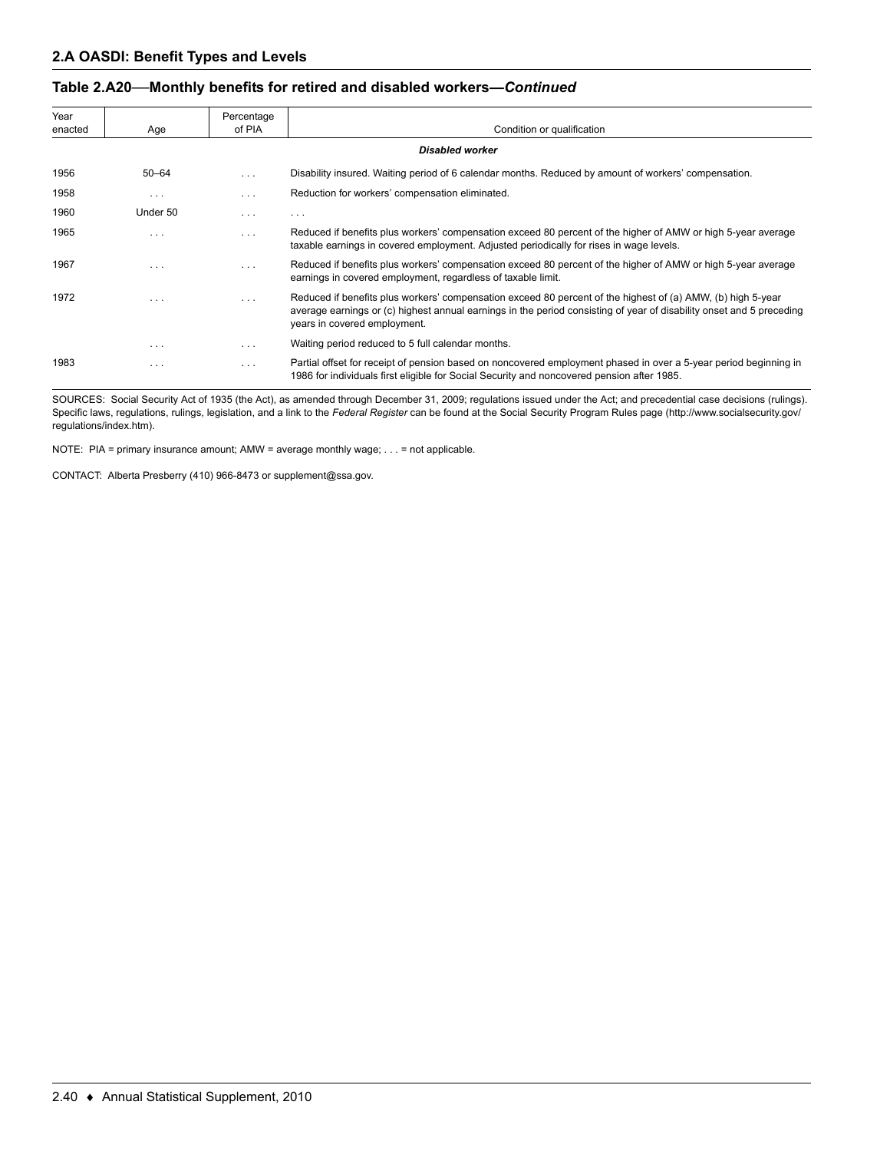### **Table 2.A20—Monthly benefits for retired and disabled workers—***Continued*

| Year<br>enacted | Age       | Percentage<br>of PIA | Condition or qualification                                                                                                                                                                                                                                          |
|-----------------|-----------|----------------------|---------------------------------------------------------------------------------------------------------------------------------------------------------------------------------------------------------------------------------------------------------------------|
|                 |           |                      | <b>Disabled worker</b>                                                                                                                                                                                                                                              |
| 1956            | $50 - 64$ | $\cdots$             | Disability insured. Waiting period of 6 calendar months. Reduced by amount of workers' compensation.                                                                                                                                                                |
| 1958            | $\cdots$  | $\cdots$             | Reduction for workers' compensation eliminated.                                                                                                                                                                                                                     |
| 1960            | Under 50  | $\cdots$             | $\cdots$                                                                                                                                                                                                                                                            |
| 1965            | $\cdots$  | $\cdots$             | Reduced if benefits plus workers' compensation exceed 80 percent of the higher of AMW or high 5-year average<br>taxable earnings in covered employment. Adjusted periodically for rises in wage levels.                                                             |
| 1967            | $\cdots$  | $\cdots$             | Reduced if benefits plus workers' compensation exceed 80 percent of the higher of AMW or high 5-year average<br>earnings in covered employment, regardless of taxable limit.                                                                                        |
| 1972            | $\cdots$  | $\cdots$             | Reduced if benefits plus workers' compensation exceed 80 percent of the highest of (a) AMW, (b) high 5-year<br>average earnings or (c) highest annual earnings in the period consisting of year of disability onset and 5 preceding<br>years in covered employment. |
|                 | $\cdots$  | $\cdots$             | Waiting period reduced to 5 full calendar months.                                                                                                                                                                                                                   |
| 1983            | $\cdots$  | $\cdots$             | Partial offset for receipt of pension based on noncovered employment phased in over a 5-year period beginning in<br>1986 for individuals first eligible for Social Security and noncovered pension after 1985.                                                      |

SOURCES: Social Security Act of 1935 (the Act), as amended through December 31, 2009; regulations issued under the Act; and precedential case decisions (rulings). Specific laws, regulations, rulings, legislation, and a link to the *Federal Register* can be found at the Social Security Program Rules page (http://www.socialsecurity.gov/ regulations/index.htm).

NOTE: PIA = primary insurance amount; AMW = average monthly wage; . . . = not applicable.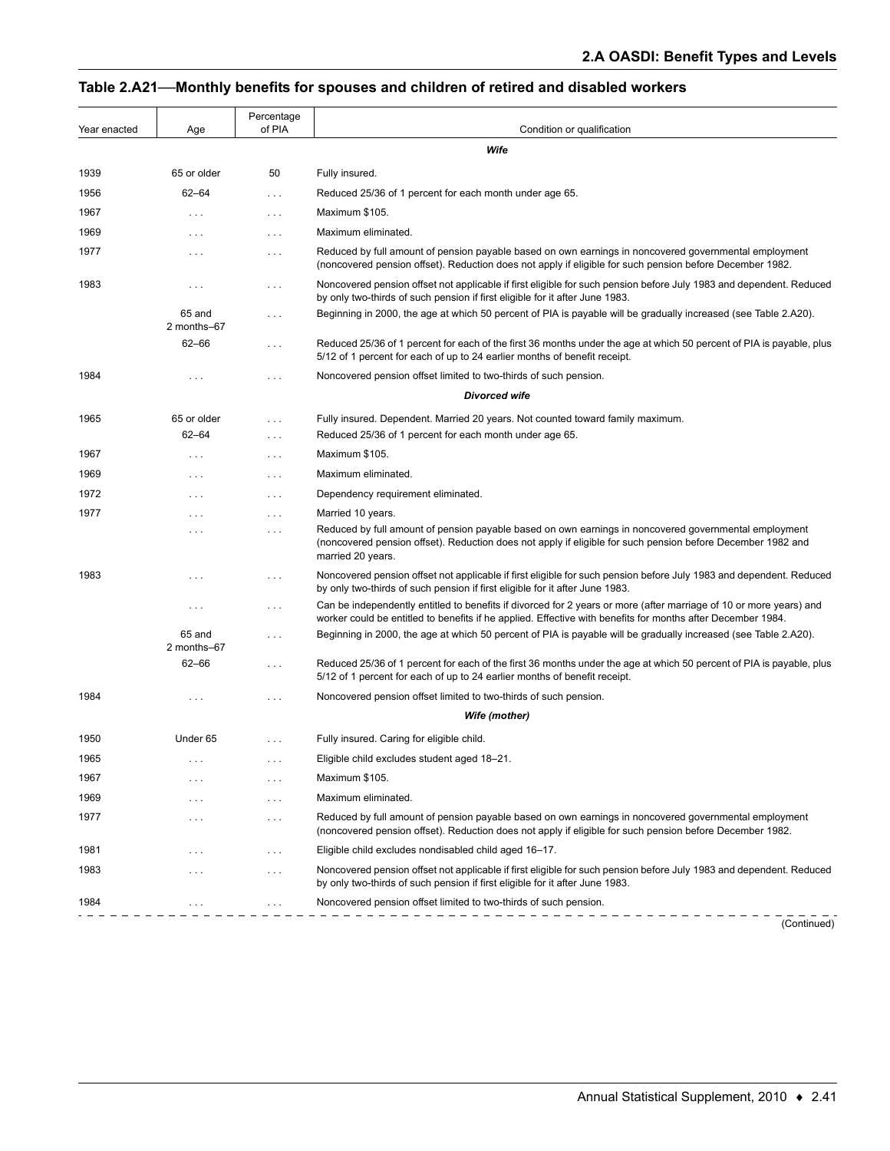### . . . **Table 2.A21—Monthly benefits for spouses and children of retired and disabled workers**

| Year enacted | Age                   | Percentage<br>of PIA | Condition or qualification                                                                                                                                                                                                                |  |  |
|--------------|-----------------------|----------------------|-------------------------------------------------------------------------------------------------------------------------------------------------------------------------------------------------------------------------------------------|--|--|
|              |                       |                      | Wife                                                                                                                                                                                                                                      |  |  |
| 1939         | 65 or older           | 50                   | Fully insured.                                                                                                                                                                                                                            |  |  |
| 1956         | $62 - 64$             | .                    | Reduced 25/36 of 1 percent for each month under age 65.                                                                                                                                                                                   |  |  |
| 1967         | $\cdots$              | $\sim$ $\sim$ $\sim$ | Maximum \$105.                                                                                                                                                                                                                            |  |  |
| 1969         | .                     | .                    | Maximum eliminated.                                                                                                                                                                                                                       |  |  |
| 1977         | $\cdots$              | $\cdots$             | Reduced by full amount of pension payable based on own earnings in noncovered governmental employment<br>(noncovered pension offset). Reduction does not apply if eligible for such pension before December 1982.                         |  |  |
| 1983         | .                     | $\ldots$             | Noncovered pension offset not applicable if first eligible for such pension before July 1983 and dependent. Reduced<br>by only two-thirds of such pension if first eligible for it after June 1983.                                       |  |  |
|              | 65 and<br>2 months-67 | .                    | Beginning in 2000, the age at which 50 percent of PIA is payable will be gradually increased (see Table 2.A20).                                                                                                                           |  |  |
|              | 62-66                 | .                    | Reduced 25/36 of 1 percent for each of the first 36 months under the age at which 50 percent of PIA is payable, plus<br>5/12 of 1 percent for each of up to 24 earlier months of benefit receipt.                                         |  |  |
| 1984         | .                     | $\cdots$             | Noncovered pension offset limited to two-thirds of such pension.                                                                                                                                                                          |  |  |
|              |                       |                      | <b>Divorced wife</b>                                                                                                                                                                                                                      |  |  |
| 1965         | 65 or older           | $\cdots$             | Fully insured. Dependent. Married 20 years. Not counted toward family maximum.                                                                                                                                                            |  |  |
|              | 62–64                 | .                    | Reduced 25/36 of 1 percent for each month under age 65.                                                                                                                                                                                   |  |  |
| 1967         | .                     | $\ldots$             | Maximum \$105.                                                                                                                                                                                                                            |  |  |
| 1969         | $\cdots$              | $\cdots$             | Maximum eliminated.                                                                                                                                                                                                                       |  |  |
| 1972         | $\cdots$              | $\cdots$             | Dependency requirement eliminated.                                                                                                                                                                                                        |  |  |
| 1977         | $\cdots$              | .                    | Married 10 years.                                                                                                                                                                                                                         |  |  |
|              | $\cdots$              | $\cdots$             | Reduced by full amount of pension payable based on own earnings in noncovered governmental employment<br>(noncovered pension offset). Reduction does not apply if eligible for such pension before December 1982 and<br>married 20 years. |  |  |
| 1983         | $\cdots$              | $\ldots$             | Noncovered pension offset not applicable if first eligible for such pension before July 1983 and dependent. Reduced<br>by only two-thirds of such pension if first eligible for it after June 1983.                                       |  |  |
|              | $\cdots$              | .                    | Can be independently entitled to benefits if divorced for 2 years or more (after marriage of 10 or more years) and<br>worker could be entitled to benefits if he applied. Effective with benefits for months after December 1984.         |  |  |
|              | 65 and<br>2 months-67 | $\cdots$             | Beginning in 2000, the age at which 50 percent of PIA is payable will be gradually increased (see Table 2.A20).                                                                                                                           |  |  |
|              | 62-66                 | .                    | Reduced 25/36 of 1 percent for each of the first 36 months under the age at which 50 percent of PIA is payable, plus<br>5/12 of 1 percent for each of up to 24 earlier months of benefit receipt.                                         |  |  |
| 1984         |                       | .                    | Noncovered pension offset limited to two-thirds of such pension.                                                                                                                                                                          |  |  |
|              |                       |                      | Wife (mother)                                                                                                                                                                                                                             |  |  |
| 1950         | Under 65              | $\ldots$             | Fully insured. Caring for eligible child.                                                                                                                                                                                                 |  |  |
| 1965         |                       | .                    | Eligible child excludes student aged 18-21.                                                                                                                                                                                               |  |  |
| 1967         |                       | $\cdots$             | Maximum \$105.                                                                                                                                                                                                                            |  |  |
| 1969         |                       | $\cdots$             | Maximum eliminated.                                                                                                                                                                                                                       |  |  |
| 1977         | $\cdots$              | $\ldots$             | Reduced by full amount of pension payable based on own earnings in noncovered governmental employment<br>(noncovered pension offset). Reduction does not apply if eligible for such pension before December 1982.                         |  |  |
| 1981         |                       | $\cdots$             | Eligible child excludes nondisabled child aged 16-17.                                                                                                                                                                                     |  |  |
| 1983         | .                     | $\ldots$ .           | Noncovered pension offset not applicable if first eligible for such pension before July 1983 and dependent. Reduced<br>by only two-thirds of such pension if first eligible for it after June 1983.                                       |  |  |
| 1984         |                       | $\cdots$             | Noncovered pension offset limited to two-thirds of such pension.                                                                                                                                                                          |  |  |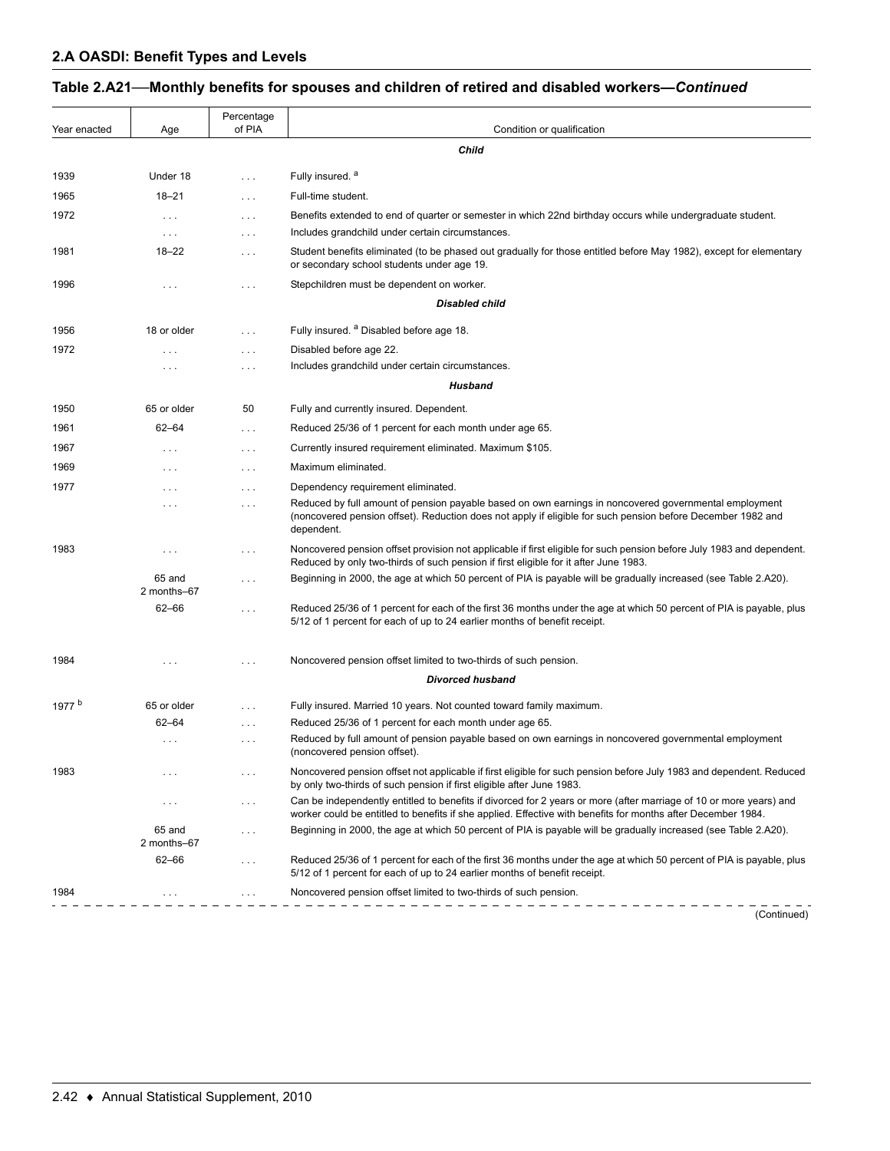## **Table 2.A21—Monthly benefits for spouses and children of retired and disabled workers—***Continued*

| Year enacted      | Age                   | Percentage<br>of PIA | Condition or qualification                                                                                                                                                                                                         |
|-------------------|-----------------------|----------------------|------------------------------------------------------------------------------------------------------------------------------------------------------------------------------------------------------------------------------------|
|                   |                       |                      | Child                                                                                                                                                                                                                              |
| 1939              | Under 18              | .                    | Fully insured. <sup>a</sup>                                                                                                                                                                                                        |
| 1965              | $18 - 21$             | .                    | Full-time student.                                                                                                                                                                                                                 |
| 1972              | $\ldots$              | $\cdots$             | Benefits extended to end of quarter or semester in which 22nd birthday occurs while undergraduate student.                                                                                                                         |
|                   | $\cdots$              | $\cdots$             | Includes grandchild under certain circumstances.                                                                                                                                                                                   |
| 1981              | $18 - 22$             | $\ldots$             | Student benefits eliminated (to be phased out gradually for those entitled before May 1982), except for elementary<br>or secondary school students under age 19.                                                                   |
| 1996              | .                     | $\cdots$             | Stepchildren must be dependent on worker.                                                                                                                                                                                          |
|                   |                       |                      | <b>Disabled child</b>                                                                                                                                                                                                              |
| 1956              | 18 or older           | $\ldots$             | Fully insured. <sup>a</sup> Disabled before age 18.                                                                                                                                                                                |
| 1972              | $\cdots$              | $\cdots$             | Disabled before age 22.                                                                                                                                                                                                            |
|                   |                       | $\cdots$             | Includes grandchild under certain circumstances.                                                                                                                                                                                   |
|                   |                       |                      | Husband                                                                                                                                                                                                                            |
| 1950              | 65 or older           | 50                   | Fully and currently insured. Dependent.                                                                                                                                                                                            |
| 1961              | $62 - 64$             | $\ldots$             | Reduced 25/36 of 1 percent for each month under age 65.                                                                                                                                                                            |
| 1967              | $\cdots$              | $\cdots$             | Currently insured requirement eliminated. Maximum \$105.                                                                                                                                                                           |
| 1969              | .                     | $\cdots$             | Maximum eliminated.                                                                                                                                                                                                                |
| 1977              | $\cdots$              | $\cdots$             | Dependency requirement eliminated.                                                                                                                                                                                                 |
|                   | $\cdots$              | $\cdots$             | Reduced by full amount of pension payable based on own earnings in noncovered governmental employment<br>(noncovered pension offset). Reduction does not apply if eligible for such pension before December 1982 and<br>dependent. |
| 1983              | $\cdots$              | $\cdots$             | Noncovered pension offset provision not applicable if first eligible for such pension before July 1983 and dependent.<br>Reduced by only two-thirds of such pension if first eligible for it after June 1983.                      |
|                   | 65 and<br>2 months-67 | $\cdots$             | Beginning in 2000, the age at which 50 percent of PIA is payable will be gradually increased (see Table 2.A20).                                                                                                                    |
|                   | $62 - 66$             | $\sim$ $\sim$ $\sim$ | Reduced 25/36 of 1 percent for each of the first 36 months under the age at which 50 percent of PIA is payable, plus<br>5/12 of 1 percent for each of up to 24 earlier months of benefit receipt.                                  |
| 1984              |                       | .                    | Noncovered pension offset limited to two-thirds of such pension.                                                                                                                                                                   |
|                   |                       |                      | <b>Divorced husband</b>                                                                                                                                                                                                            |
| 1977 <sup>b</sup> | 65 or older           | .                    | Fully insured. Married 10 years. Not counted toward family maximum.                                                                                                                                                                |
|                   | $62 - 64$             | $\cdots$             | Reduced 25/36 of 1 percent for each month under age 65.                                                                                                                                                                            |
|                   | $\cdots$              | $\cdots$             | Reduced by full amount of pension payable based on own earnings in noncovered governmental employment<br>(noncovered pension offset).                                                                                              |
| 1983              | .                     | $\cdots$             | Noncovered pension offset not applicable if first eligible for such pension before July 1983 and dependent. Reduced<br>by only two-thirds of such pension if first eligible after June 1983.                                       |
|                   | $\sim$ $\sim$ $\sim$  | .                    | Can be independently entitled to benefits if divorced for 2 years or more (after marriage of 10 or more years) and<br>worker could be entitled to benefits if she applied. Effective with benefits for months after December 1984. |
|                   | 65 and<br>2 months-67 | .                    | Beginning in 2000, the age at which 50 percent of PIA is payable will be gradually increased (see Table 2.A20).                                                                                                                    |
|                   | $62 - 66$             | $\cdots$             | Reduced 25/36 of 1 percent for each of the first 36 months under the age at which 50 percent of PIA is payable, plus<br>5/12 of 1 percent for each of up to 24 earlier months of benefit receipt.                                  |
| 1984              | $\cdots$              | .                    | Noncovered pension offset limited to two-thirds of such pension.                                                                                                                                                                   |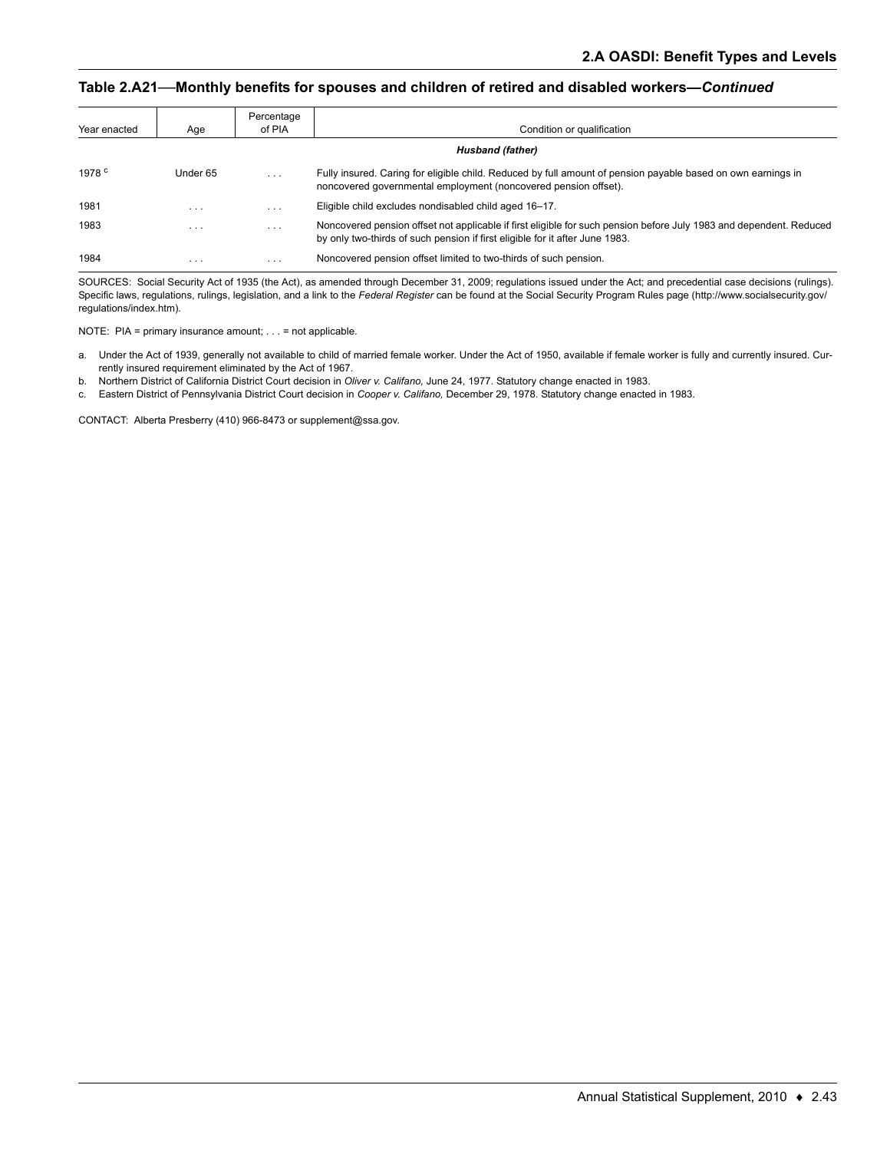#### **Table 2.A21—Monthly benefits for spouses and children of retired and disabled workers—***Continued*

| Year enacted    | Age                     | Percentage<br>of PIA    | Condition or qualification                                                                                                                                                                          |
|-----------------|-------------------------|-------------------------|-----------------------------------------------------------------------------------------------------------------------------------------------------------------------------------------------------|
|                 |                         |                         | Husband (father)                                                                                                                                                                                    |
| 1978 $^{\circ}$ | Under 65                | $\cdot$ $\cdot$ $\cdot$ | Fully insured. Caring for eligible child. Reduced by full amount of pension payable based on own earnings in<br>noncovered governmental employment (noncovered pension offset).                     |
| 1981            | $\cdot$ $\cdot$ $\cdot$ | $\cdot$ $\cdot$ $\cdot$ | Eligible child excludes nondisabled child aged 16-17.                                                                                                                                               |
| 1983            | $\cdot$ $\cdot$ $\cdot$ | $\cdot$ $\cdot$ $\cdot$ | Noncovered pension offset not applicable if first eligible for such pension before July 1983 and dependent. Reduced<br>by only two-thirds of such pension if first eligible for it after June 1983. |
| 1984            | $\cdot$ $\cdot$ $\cdot$ | $\cdots$                | Noncovered pension offset limited to two-thirds of such pension.                                                                                                                                    |

SOURCES: Social Security Act of 1935 (the Act), as amended through December 31, 2009; regulations issued under the Act; and precedential case decisions (rulings). Specific laws, regulations, rulings, legislation, and a link to the *Federal Register* can be found at the Social Security Program Rules page (http://www.socialsecurity.gov/ regulations/index.htm).

NOTE: PIA = primary insurance amount; . . . = not applicable.

- a. Under the Act of 1939, generally not available to child of married female worker. Under the Act of 1950, available if female worker is fully and currently insured. Currently insured requirement eliminated by the Act of 1967.
- b. Northern District of California District Court decision in *Oliver v. Califano,* June 24, 1977. Statutory change enacted in 1983.
- c. Eastern District of Pennsylvania District Court decision in *Cooper v. Califano,* December 29, 1978. Statutory change enacted in 1983.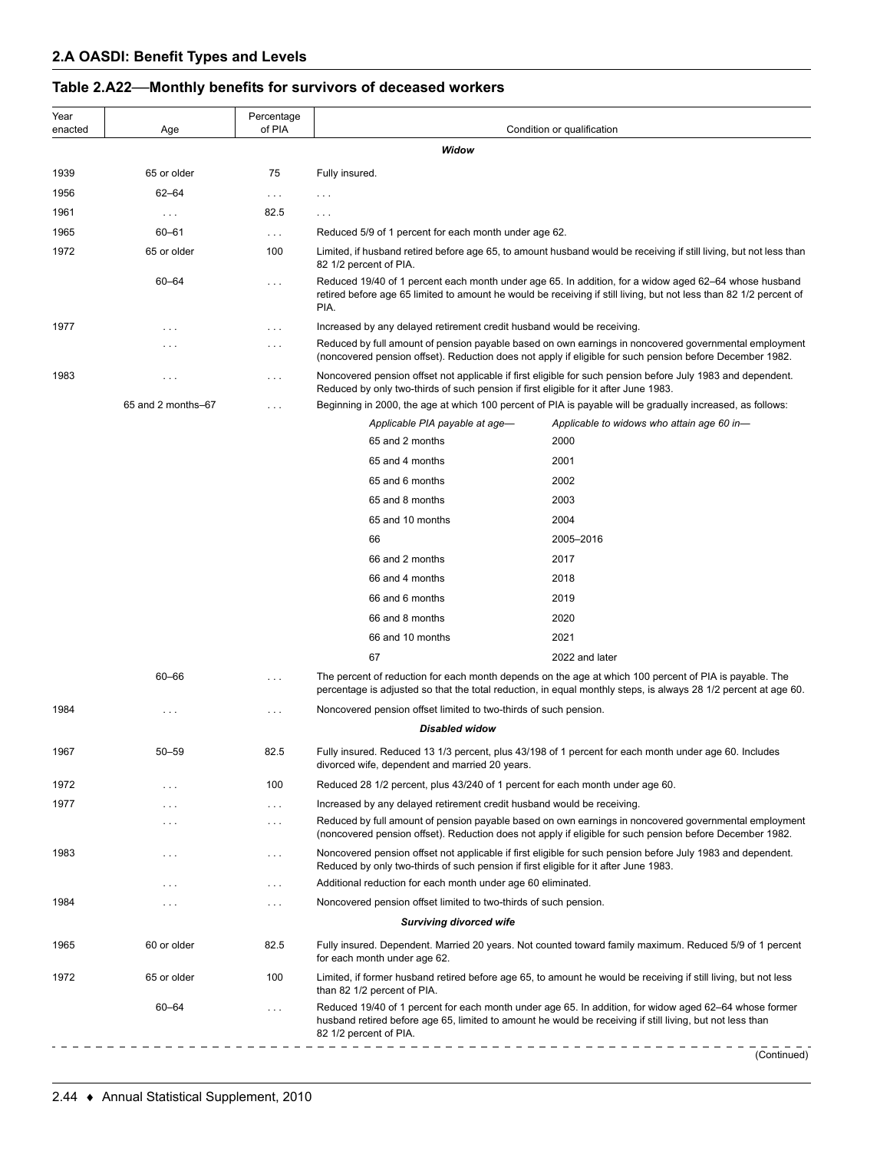| Year<br>enacted | Age                  | Percentage<br>of PIA | Condition or qualification                                                           |                                                                                                                                                                                                                             |  |  |
|-----------------|----------------------|----------------------|--------------------------------------------------------------------------------------|-----------------------------------------------------------------------------------------------------------------------------------------------------------------------------------------------------------------------------|--|--|
|                 |                      |                      | Widow                                                                                |                                                                                                                                                                                                                             |  |  |
| 1939            | 65 or older          | 75                   | Fully insured.                                                                       |                                                                                                                                                                                                                             |  |  |
| 1956            | $62 - 64$            | $\sim$ $\sim$ $\sim$ | .                                                                                    |                                                                                                                                                                                                                             |  |  |
| 1961            | $\sim$ $\sim$ $\sim$ | 82.5                 | $\cdots$                                                                             |                                                                                                                                                                                                                             |  |  |
| 1965            | $60 - 61$            | $\ldots$             | Reduced 5/9 of 1 percent for each month under age 62.                                |                                                                                                                                                                                                                             |  |  |
| 1972            | 65 or older          | 100                  |                                                                                      | Limited, if husband retired before age 65, to amount husband would be receiving if still living, but not less than                                                                                                          |  |  |
|                 |                      |                      | 82 1/2 percent of PIA.                                                               |                                                                                                                                                                                                                             |  |  |
|                 | 60-64                | $\ldots$             | PIA.                                                                                 | Reduced 19/40 of 1 percent each month under age 65. In addition, for a widow aged 62-64 whose husband<br>retired before age 65 limited to amount he would be receiving if still living, but not less than 82 1/2 percent of |  |  |
| 1977            | $\cdots$             | $\cdots$             | Increased by any delayed retirement credit husband would be receiving.               |                                                                                                                                                                                                                             |  |  |
|                 | .                    | $\cdots$             |                                                                                      | Reduced by full amount of pension payable based on own earnings in noncovered governmental employment<br>(noncovered pension offset). Reduction does not apply if eligible for such pension before December 1982.           |  |  |
| 1983            | $\sim$ $\sim$ $\sim$ | $\cdots$             | Reduced by only two-thirds of such pension if first eligible for it after June 1983. | Noncovered pension offset not applicable if first eligible for such pension before July 1983 and dependent.                                                                                                                 |  |  |
|                 | 65 and 2 months-67   | $\ldots$             |                                                                                      | Beginning in 2000, the age at which 100 percent of PIA is payable will be gradually increased, as follows:                                                                                                                  |  |  |
|                 |                      |                      | Applicable PIA payable at age-                                                       | Applicable to widows who attain age 60 in-                                                                                                                                                                                  |  |  |
|                 |                      |                      | 65 and 2 months                                                                      | 2000                                                                                                                                                                                                                        |  |  |
|                 |                      |                      | 65 and 4 months                                                                      | 2001                                                                                                                                                                                                                        |  |  |
|                 |                      |                      | 65 and 6 months                                                                      | 2002                                                                                                                                                                                                                        |  |  |
|                 |                      |                      | 65 and 8 months                                                                      | 2003                                                                                                                                                                                                                        |  |  |
|                 |                      |                      | 65 and 10 months                                                                     | 2004                                                                                                                                                                                                                        |  |  |
|                 |                      |                      | 66                                                                                   | 2005-2016                                                                                                                                                                                                                   |  |  |
|                 |                      |                      | 66 and 2 months                                                                      | 2017                                                                                                                                                                                                                        |  |  |
|                 |                      |                      | 66 and 4 months                                                                      | 2018                                                                                                                                                                                                                        |  |  |
|                 |                      |                      | 66 and 6 months                                                                      | 2019                                                                                                                                                                                                                        |  |  |
|                 |                      |                      | 66 and 8 months                                                                      | 2020                                                                                                                                                                                                                        |  |  |
|                 |                      |                      | 66 and 10 months                                                                     | 2021                                                                                                                                                                                                                        |  |  |
|                 |                      |                      | 67                                                                                   | 2022 and later                                                                                                                                                                                                              |  |  |
|                 | 60-66                | $\cdots$             |                                                                                      | The percent of reduction for each month depends on the age at which 100 percent of PIA is payable. The<br>percentage is adjusted so that the total reduction, in equal monthly steps, is always 28 1/2 percent at age 60.   |  |  |
| 1984            | $\cdots$             | $\ldots$             | Noncovered pension offset limited to two-thirds of such pension.                     |                                                                                                                                                                                                                             |  |  |
|                 |                      |                      | <b>Disabled widow</b>                                                                |                                                                                                                                                                                                                             |  |  |
| 1967            | $50 - 59$            | 82.5                 | divorced wife, dependent and married 20 years.                                       | Fully insured. Reduced 13 1/3 percent, plus 43/198 of 1 percent for each month under age 60. Includes                                                                                                                       |  |  |
| 1972            | $\sim$ $\sim$ $\sim$ | 100                  | Reduced 28 1/2 percent, plus 43/240 of 1 percent for each month under age 60.        |                                                                                                                                                                                                                             |  |  |
| 1977            | $\cdots$             | $\cdots$             | Increased by any delayed retirement credit husband would be receiving.               |                                                                                                                                                                                                                             |  |  |
|                 | $\cdots$             | $\cdots$             |                                                                                      | Reduced by full amount of pension payable based on own earnings in noncovered governmental employment<br>(noncovered pension offset). Reduction does not apply if eligible for such pension before December 1982.           |  |  |
| 1983            | $\sim$ $\sim$ $\sim$ | $\cdots$             | Reduced by only two-thirds of such pension if first eligible for it after June 1983. | Noncovered pension offset not applicable if first eligible for such pension before July 1983 and dependent.                                                                                                                 |  |  |
|                 | $\cdots$             | $\cdots$             | Additional reduction for each month under age 60 eliminated.                         |                                                                                                                                                                                                                             |  |  |
| 1984            | $\cdots$             | $\sim$ $\sim$ $\sim$ | Noncovered pension offset limited to two-thirds of such pension.                     |                                                                                                                                                                                                                             |  |  |
|                 |                      |                      | <b>Surviving divorced wife</b>                                                       |                                                                                                                                                                                                                             |  |  |
| 1965            | 60 or older          | 82.5                 | for each month under age 62.                                                         | Fully insured. Dependent. Married 20 years. Not counted toward family maximum. Reduced 5/9 of 1 percent                                                                                                                     |  |  |
| 1972            | 65 or older          | 100                  | than 82 1/2 percent of PIA.                                                          | Limited, if former husband retired before age 65, to amount he would be receiving if still living, but not less                                                                                                             |  |  |
|                 | 60-64                | $\ldots$             | 82 1/2 percent of PIA.                                                               | Reduced 19/40 of 1 percent for each month under age 65. In addition, for widow aged 62–64 whose former<br>husband retired before age 65, limited to amount he would be receiving if still living, but not less than         |  |  |
|                 |                      |                      |                                                                                      | (Continued)                                                                                                                                                                                                                 |  |  |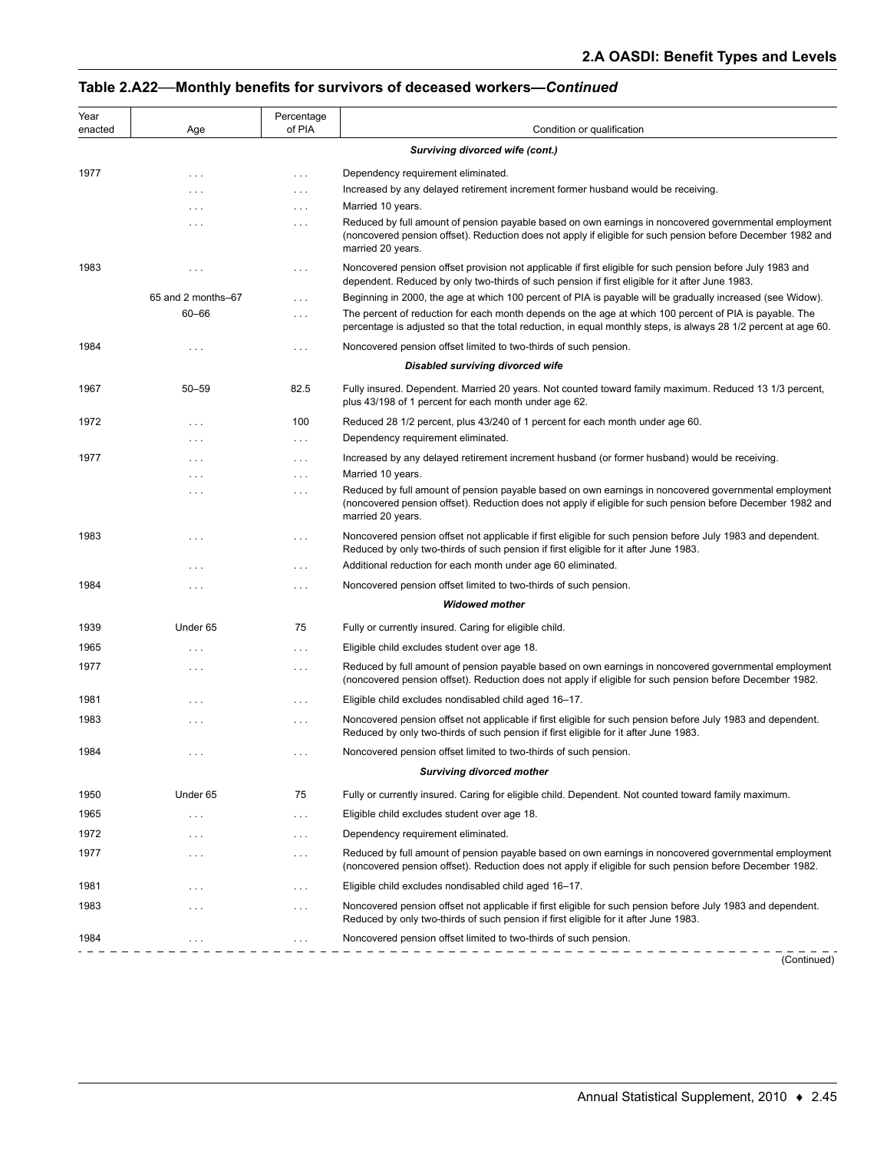| Year<br>enacted | Age                                    | Percentage<br>of PIA | Condition or qualification                                                                                                                                                                                                                |  |  |  |  |
|-----------------|----------------------------------------|----------------------|-------------------------------------------------------------------------------------------------------------------------------------------------------------------------------------------------------------------------------------------|--|--|--|--|
|                 | <b>Surviving divorced wife (cont.)</b> |                      |                                                                                                                                                                                                                                           |  |  |  |  |
| 1977            |                                        |                      |                                                                                                                                                                                                                                           |  |  |  |  |
|                 | $\cdots$<br>$\cdots$                   | $\cdots$<br>$\cdots$ | Dependency requirement eliminated.<br>Increased by any delayed retirement increment former husband would be receiving.                                                                                                                    |  |  |  |  |
|                 | $\cdots$                               | $\cdots$             | Married 10 years.                                                                                                                                                                                                                         |  |  |  |  |
|                 | $\cdots$                               | $\cdots$             | Reduced by full amount of pension payable based on own earnings in noncovered governmental employment<br>(noncovered pension offset). Reduction does not apply if eligible for such pension before December 1982 and<br>married 20 years. |  |  |  |  |
| 1983            | $\cdots$                               | $\sim 100$           | Noncovered pension offset provision not applicable if first eligible for such pension before July 1983 and<br>dependent. Reduced by only two-thirds of such pension if first eligible for it after June 1983.                             |  |  |  |  |
|                 | 65 and 2 months-67                     | $\cdots$             | Beginning in 2000, the age at which 100 percent of PIA is payable will be gradually increased (see Widow).                                                                                                                                |  |  |  |  |
|                 | 60-66                                  | $\cdots$             | The percent of reduction for each month depends on the age at which 100 percent of PIA is payable. The<br>percentage is adjusted so that the total reduction, in equal monthly steps, is always 28 1/2 percent at age 60.                 |  |  |  |  |
| 1984            | $\cdots$                               | $\cdots$             | Noncovered pension offset limited to two-thirds of such pension.                                                                                                                                                                          |  |  |  |  |
|                 |                                        |                      | <b>Disabled surviving divorced wife</b>                                                                                                                                                                                                   |  |  |  |  |
| 1967            | $50 - 59$                              | 82.5                 | Fully insured. Dependent. Married 20 years. Not counted toward family maximum. Reduced 13 1/3 percent,<br>plus 43/198 of 1 percent for each month under age 62.                                                                           |  |  |  |  |
| 1972            | $\cdots$                               | 100                  | Reduced 28 1/2 percent, plus 43/240 of 1 percent for each month under age 60.                                                                                                                                                             |  |  |  |  |
|                 | $\cdots$                               | $\ldots$ .           | Dependency requirement eliminated.                                                                                                                                                                                                        |  |  |  |  |
| 1977            | $\cdots$                               | $\cdots$             | Increased by any delayed retirement increment husband (or former husband) would be receiving.                                                                                                                                             |  |  |  |  |
|                 | $\cdots$                               | $\cdots$             | Married 10 years.                                                                                                                                                                                                                         |  |  |  |  |
|                 | $\cdots$                               | $\cdots$             | Reduced by full amount of pension payable based on own earnings in noncovered governmental employment<br>(noncovered pension offset). Reduction does not apply if eligible for such pension before December 1982 and<br>married 20 years. |  |  |  |  |
| 1983            | $\cdots$                               | $\cdots$             | Noncovered pension offset not applicable if first eligible for such pension before July 1983 and dependent.<br>Reduced by only two-thirds of such pension if first eligible for it after June 1983.                                       |  |  |  |  |
|                 | $\cdots$                               | $\cdots$             | Additional reduction for each month under age 60 eliminated.                                                                                                                                                                              |  |  |  |  |
| 1984            | $\cdots$                               | $\cdots$             | Noncovered pension offset limited to two-thirds of such pension.                                                                                                                                                                          |  |  |  |  |
|                 |                                        |                      | <b>Widowed mother</b>                                                                                                                                                                                                                     |  |  |  |  |
| 1939            | Under 65                               | 75                   | Fully or currently insured. Caring for eligible child.                                                                                                                                                                                    |  |  |  |  |
| 1965            | $\cdots$                               | $\ldots$ .           | Eligible child excludes student over age 18.                                                                                                                                                                                              |  |  |  |  |
| 1977            | $\cdots$                               | $\cdots$             | Reduced by full amount of pension payable based on own earnings in noncovered governmental employment<br>(noncovered pension offset). Reduction does not apply if eligible for such pension before December 1982.                         |  |  |  |  |
| 1981            | $\cdots$                               | $\cdots$             | Eligible child excludes nondisabled child aged 16–17.                                                                                                                                                                                     |  |  |  |  |
| 1983            | $\cdots$                               | $\cdots$             | Noncovered pension offset not applicable if first eligible for such pension before July 1983 and dependent.<br>Reduced by only two-thirds of such pension if first eligible for it after June 1983.                                       |  |  |  |  |
| 1984            |                                        |                      | Noncovered pension offset limited to two-thirds of such pension.                                                                                                                                                                          |  |  |  |  |
|                 |                                        |                      | <b>Surviving divorced mother</b>                                                                                                                                                                                                          |  |  |  |  |
| 1950            | Under 65                               | 75                   | Fully or currently insured. Caring for eligible child. Dependent. Not counted toward family maximum.                                                                                                                                      |  |  |  |  |
| 1965            | $\cdots$                               | $\cdots$             | Eligible child excludes student over age 18.                                                                                                                                                                                              |  |  |  |  |
| 1972            | $\cdots$                               | $\cdots$             | Dependency requirement eliminated.                                                                                                                                                                                                        |  |  |  |  |
| 1977            | $\cdots$                               | $\cdots$             | Reduced by full amount of pension payable based on own earnings in noncovered governmental employment<br>(noncovered pension offset). Reduction does not apply if eligible for such pension before December 1982.                         |  |  |  |  |
| 1981            | $\cdots$                               | $\cdots$             | Eligible child excludes nondisabled child aged 16-17.                                                                                                                                                                                     |  |  |  |  |
| 1983            | $\cdots$                               | $\cdots$             | Noncovered pension offset not applicable if first eligible for such pension before July 1983 and dependent.<br>Reduced by only two-thirds of such pension if first eligible for it after June 1983.                                       |  |  |  |  |
| 1984            |                                        | $\cdots$             | Noncovered pension offset limited to two-thirds of such pension.                                                                                                                                                                          |  |  |  |  |
|                 |                                        |                      | (Continued)                                                                                                                                                                                                                               |  |  |  |  |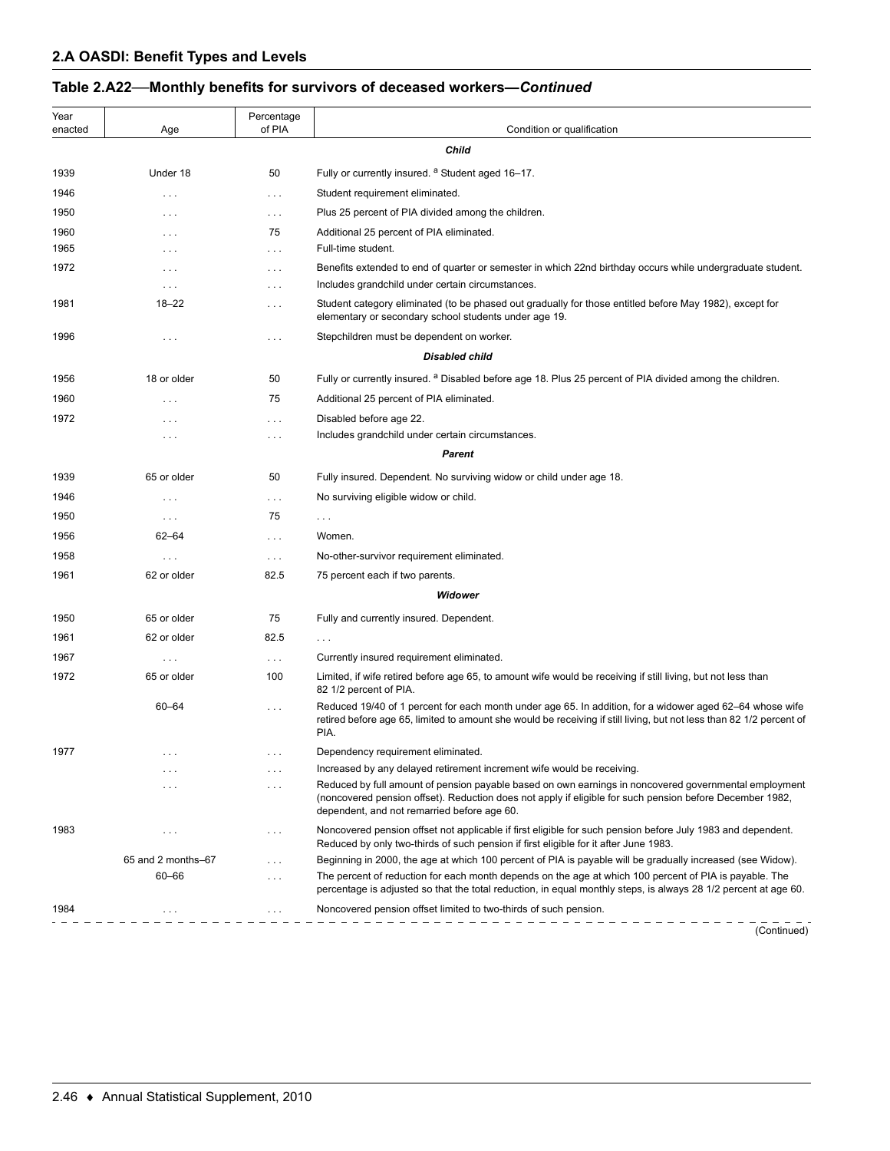| Year<br>enacted | Age                | Percentage<br>of PIA | Condition or qualification                                                                                                                                                                                                                                       |
|-----------------|--------------------|----------------------|------------------------------------------------------------------------------------------------------------------------------------------------------------------------------------------------------------------------------------------------------------------|
|                 |                    |                      | <b>Child</b>                                                                                                                                                                                                                                                     |
| 1939            | Under 18           | 50                   | Fully or currently insured. <sup>a</sup> Student aged 16-17.                                                                                                                                                                                                     |
| 1946            | .                  | $\ldots$             | Student requirement eliminated.                                                                                                                                                                                                                                  |
| 1950            | .                  | $\cdots$             | Plus 25 percent of PIA divided among the children.                                                                                                                                                                                                               |
| 1960            | .                  | 75                   | Additional 25 percent of PIA eliminated.                                                                                                                                                                                                                         |
| 1965            | .                  | $\cdots$             | Full-time student.                                                                                                                                                                                                                                               |
| 1972            | .                  | $\ldots$ .           | Benefits extended to end of quarter or semester in which 22nd birthday occurs while undergraduate student.                                                                                                                                                       |
|                 | $\cdots$           | $\cdots$             | Includes grandchild under certain circumstances.                                                                                                                                                                                                                 |
| 1981            | $18 - 22$          | $\cdots$             | Student category eliminated (to be phased out gradually for those entitled before May 1982), except for<br>elementary or secondary school students under age 19.                                                                                                 |
| 1996            | .                  | $\ldots$ .           | Stepchildren must be dependent on worker.                                                                                                                                                                                                                        |
|                 |                    |                      | <b>Disabled child</b>                                                                                                                                                                                                                                            |
| 1956            | 18 or older        | 50                   | Fully or currently insured. <sup>a</sup> Disabled before age 18. Plus 25 percent of PIA divided among the children.                                                                                                                                              |
| 1960            | .                  | 75                   | Additional 25 percent of PIA eliminated.                                                                                                                                                                                                                         |
| 1972            | $\cdots$           | $\cdots$             | Disabled before age 22.                                                                                                                                                                                                                                          |
|                 | .                  | $\cdots$             | Includes grandchild under certain circumstances.                                                                                                                                                                                                                 |
|                 |                    |                      | Parent                                                                                                                                                                                                                                                           |
| 1939            | 65 or older        | 50                   | Fully insured. Dependent. No surviving widow or child under age 18.                                                                                                                                                                                              |
| 1946            | $\cdots$           | $\sim$ $\sim$ $\sim$ | No surviving eligible widow or child.                                                                                                                                                                                                                            |
| 1950            | $\cdots$           | 75                   | $\cdots$                                                                                                                                                                                                                                                         |
| 1956            | $62 - 64$          | $\sim$ $\sim$ $\sim$ | Women.                                                                                                                                                                                                                                                           |
| 1958            | $\cdots$           | $\sim$ $\sim$ $\sim$ | No-other-survivor requirement eliminated.                                                                                                                                                                                                                        |
| 1961            | 62 or older        | 82.5                 | 75 percent each if two parents.                                                                                                                                                                                                                                  |
|                 |                    |                      | Widower                                                                                                                                                                                                                                                          |
| 1950            | 65 or older        | 75                   | Fully and currently insured. Dependent.                                                                                                                                                                                                                          |
| 1961            | 62 or older        | 82.5                 | $\cdots$                                                                                                                                                                                                                                                         |
| 1967            | $\cdots$           | $\sim$ $\sim$ $\sim$ | Currently insured requirement eliminated.                                                                                                                                                                                                                        |
| 1972            | 65 or older        | 100                  | Limited, if wife retired before age 65, to amount wife would be receiving if still living, but not less than<br>82 1/2 percent of PIA.                                                                                                                           |
|                 | $60 - 64$          | $\ldots$ .           | Reduced 19/40 of 1 percent for each month under age 65. In addition, for a widower aged 62–64 whose wife<br>retired before age 65, limited to amount she would be receiving if still living, but not less than 82 1/2 percent of<br>PIA.                         |
| 1977            |                    | $\cdots$             | Dependency requirement eliminated.                                                                                                                                                                                                                               |
|                 | $\cdots$           | $\cdots$             | Increased by any delayed retirement increment wife would be receiving.                                                                                                                                                                                           |
|                 |                    | $\cdots$             | Reduced by full amount of pension payable based on own earnings in noncovered governmental employment<br>(noncovered pension offset). Reduction does not apply if eligible for such pension before December 1982,<br>dependent, and not remarried before age 60. |
| 1983            | $\cdots$           | $\cdots$             | Noncovered pension offset not applicable if first eligible for such pension before July 1983 and dependent.<br>Reduced by only two-thirds of such pension if first eligible for it after June 1983.                                                              |
|                 | 65 and 2 months-67 | $\cdots$             | Beginning in 2000, the age at which 100 percent of PIA is payable will be gradually increased (see Widow).                                                                                                                                                       |
|                 | 60-66              | $\ldots$ .           | The percent of reduction for each month depends on the age at which 100 percent of PIA is payable. The<br>percentage is adjusted so that the total reduction, in equal monthly steps, is always 28 1/2 percent at age 60.                                        |
| 1984            | .                  | $\ldots$ .           | Noncovered pension offset limited to two-thirds of such pension.                                                                                                                                                                                                 |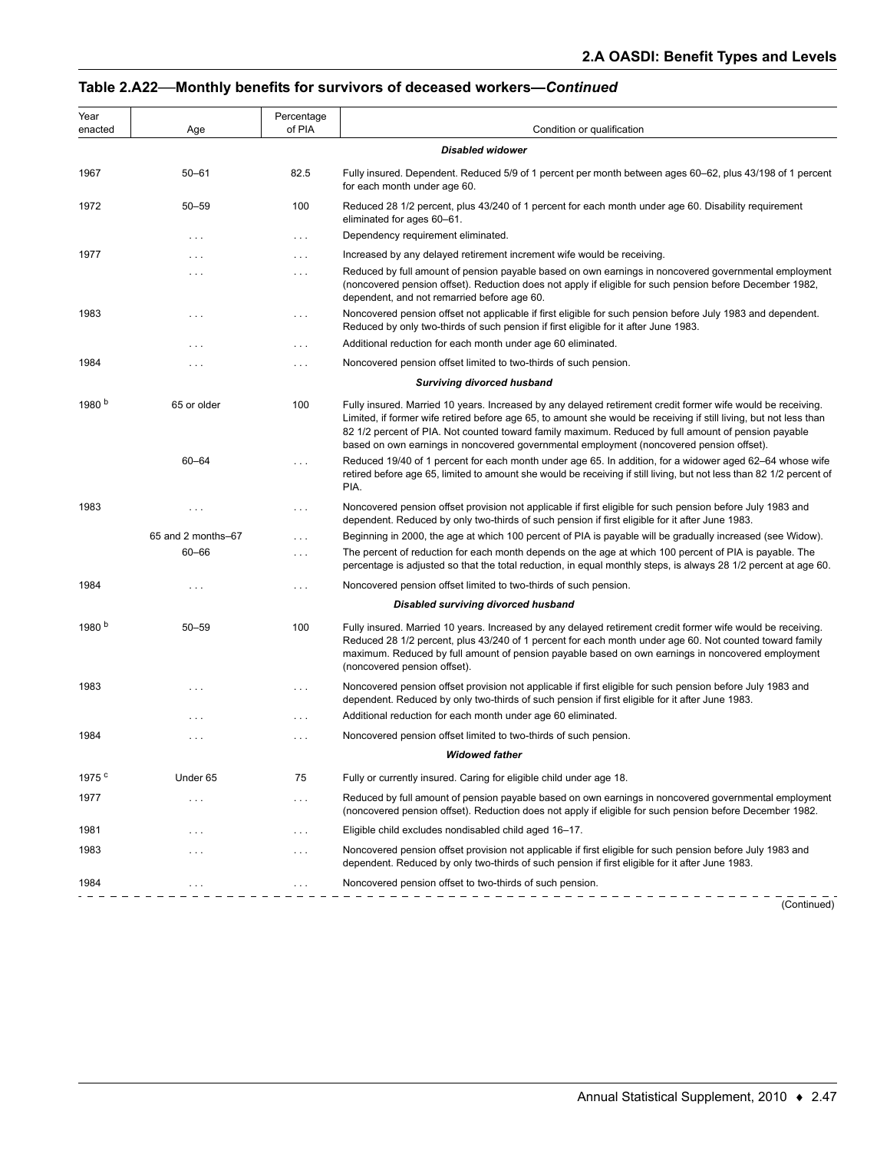| Year<br>enacted   | Age                  | Percentage<br>of PIA | Condition or qualification                                                                                                                                                                                                                                                                                                                                                                                                           |
|-------------------|----------------------|----------------------|--------------------------------------------------------------------------------------------------------------------------------------------------------------------------------------------------------------------------------------------------------------------------------------------------------------------------------------------------------------------------------------------------------------------------------------|
|                   |                      |                      | <b>Disabled widower</b>                                                                                                                                                                                                                                                                                                                                                                                                              |
| 1967              | $50 - 61$            | 82.5                 | Fully insured. Dependent. Reduced 5/9 of 1 percent per month between ages 60–62, plus 43/198 of 1 percent<br>for each month under age 60.                                                                                                                                                                                                                                                                                            |
| 1972              | $50 - 59$            | 100                  | Reduced 28 1/2 percent, plus 43/240 of 1 percent for each month under age 60. Disability requirement<br>eliminated for ages 60–61.                                                                                                                                                                                                                                                                                                   |
|                   | $\ldots$             | $\sim$ $\sim$ $\sim$ | Dependency requirement eliminated.                                                                                                                                                                                                                                                                                                                                                                                                   |
| 1977              | $\cdots$             | $\ldots$             | Increased by any delayed retirement increment wife would be receiving.                                                                                                                                                                                                                                                                                                                                                               |
|                   | $\cdots$             | $\ldots$             | Reduced by full amount of pension payable based on own earnings in noncovered governmental employment<br>(noncovered pension offset). Reduction does not apply if eligible for such pension before December 1982,<br>dependent, and not remarried before age 60.                                                                                                                                                                     |
| 1983              | $\cdots$             | $\ldots$ .           | Noncovered pension offset not applicable if first eligible for such pension before July 1983 and dependent.<br>Reduced by only two-thirds of such pension if first eligible for it after June 1983.                                                                                                                                                                                                                                  |
|                   | $\sim$ $\sim$ $\sim$ | $\cdots$             | Additional reduction for each month under age 60 eliminated.                                                                                                                                                                                                                                                                                                                                                                         |
| 1984              | $\cdots$             | $\ldots$             | Noncovered pension offset limited to two-thirds of such pension.                                                                                                                                                                                                                                                                                                                                                                     |
|                   |                      |                      | <b>Surviving divorced husband</b>                                                                                                                                                                                                                                                                                                                                                                                                    |
| 1980 <sup>b</sup> | 65 or older          | 100                  | Fully insured. Married 10 years. Increased by any delayed retirement credit former wife would be receiving.<br>Limited, if former wife retired before age 65, to amount she would be receiving if still living, but not less than<br>82 1/2 percent of PIA. Not counted toward family maximum. Reduced by full amount of pension payable<br>based on own earnings in noncovered governmental employment (noncovered pension offset). |
|                   | $60 - 64$            | $\sim$ $\sim$ $\sim$ | Reduced 19/40 of 1 percent for each month under age 65. In addition, for a widower aged 62–64 whose wife<br>retired before age 65, limited to amount she would be receiving if still living, but not less than 82 1/2 percent of<br>PIA.                                                                                                                                                                                             |
| 1983              | $\cdots$             | $\ldots$ .           | Noncovered pension offset provision not applicable if first eligible for such pension before July 1983 and<br>dependent. Reduced by only two-thirds of such pension if first eligible for it after June 1983.                                                                                                                                                                                                                        |
|                   | 65 and 2 months-67   | $\sim$ $\sim$ $\sim$ | Beginning in 2000, the age at which 100 percent of PIA is payable will be gradually increased (see Widow).                                                                                                                                                                                                                                                                                                                           |
|                   | $60 - 66$            | $\ldots$             | The percent of reduction for each month depends on the age at which 100 percent of PIA is payable. The<br>percentage is adjusted so that the total reduction, in equal monthly steps, is always 28 1/2 percent at age 60.                                                                                                                                                                                                            |
| 1984              | $\cdots$             | $\ldots$             | Noncovered pension offset limited to two-thirds of such pension.                                                                                                                                                                                                                                                                                                                                                                     |
|                   |                      |                      | Disabled surviving divorced husband                                                                                                                                                                                                                                                                                                                                                                                                  |
| 1980 <sup>b</sup> | $50 - 59$            | 100                  | Fully insured. Married 10 years. Increased by any delayed retirement credit former wife would be receiving.<br>Reduced 28 1/2 percent, plus 43/240 of 1 percent for each month under age 60. Not counted toward family<br>maximum. Reduced by full amount of pension payable based on own earnings in noncovered employment<br>(noncovered pension offset).                                                                          |
| 1983              | $\cdots$             | $\cdots$             | Noncovered pension offset provision not applicable if first eligible for such pension before July 1983 and<br>dependent. Reduced by only two-thirds of such pension if first eligible for it after June 1983.                                                                                                                                                                                                                        |
|                   | $\cdots$             | $\cdots$             | Additional reduction for each month under age 60 eliminated.                                                                                                                                                                                                                                                                                                                                                                         |
| 1984              | $\cdots$             | $\ldots$             | Noncovered pension offset limited to two-thirds of such pension.                                                                                                                                                                                                                                                                                                                                                                     |
|                   |                      |                      | <b>Widowed father</b>                                                                                                                                                                                                                                                                                                                                                                                                                |
| 1975 <sup>c</sup> | Under 65             | 75                   | Fully or currently insured. Caring for eligible child under age 18.                                                                                                                                                                                                                                                                                                                                                                  |
| 1977              | $\cdots$             | $\ldots$             | Reduced by full amount of pension payable based on own earnings in noncovered governmental employment<br>(noncovered pension offset). Reduction does not apply if eligible for such pension before December 1982.                                                                                                                                                                                                                    |
| 1981              | $\cdots$             | $\cdots$             | Eligible child excludes nondisabled child aged 16-17.                                                                                                                                                                                                                                                                                                                                                                                |
| 1983              | $\cdots$             | $\ldots$             | Noncovered pension offset provision not applicable if first eligible for such pension before July 1983 and<br>dependent. Reduced by only two-thirds of such pension if first eligible for it after June 1983.                                                                                                                                                                                                                        |
| 1984              | $\cdots$             | $\ldots$             | Noncovered pension offset to two-thirds of such pension.                                                                                                                                                                                                                                                                                                                                                                             |
|                   |                      |                      |                                                                                                                                                                                                                                                                                                                                                                                                                                      |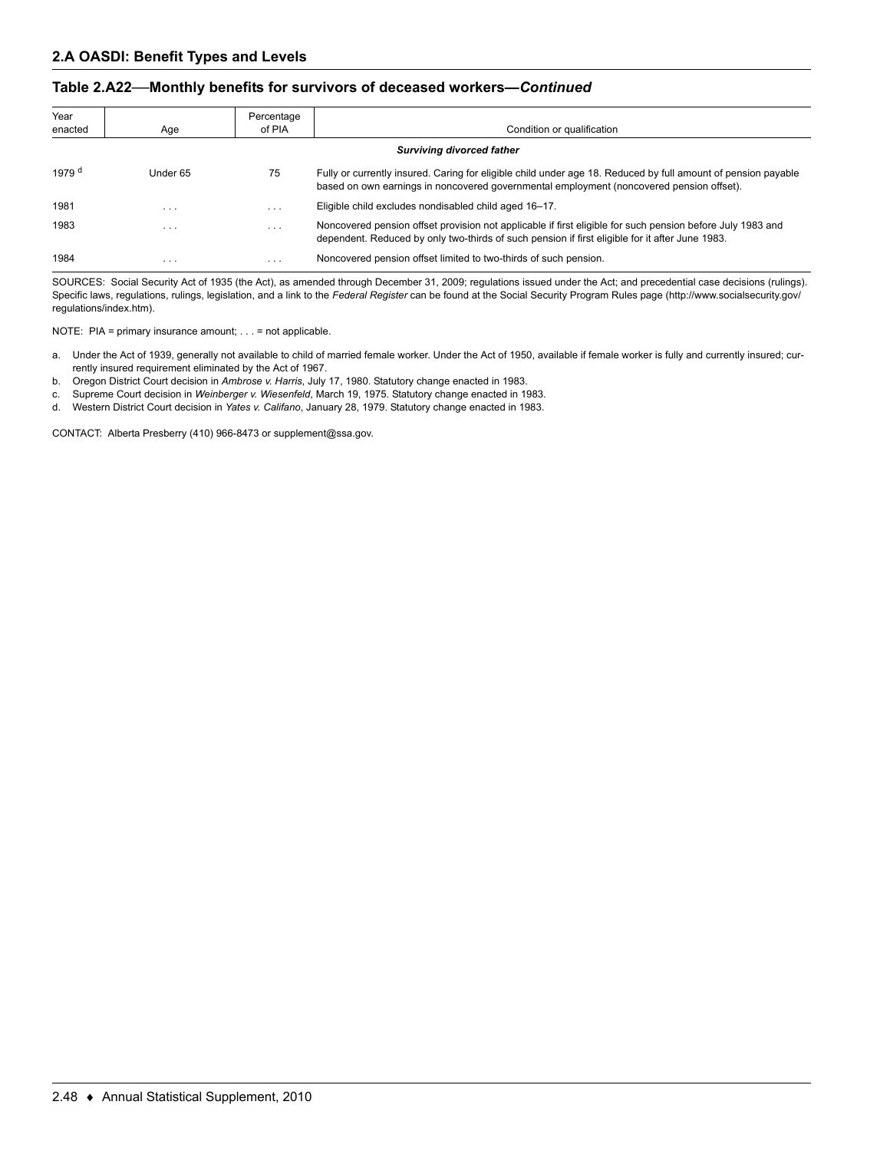| Year<br>enacted | Age      | Percentage<br>of PIA | Condition or qualification                                                                                                                                                                                    |
|-----------------|----------|----------------------|---------------------------------------------------------------------------------------------------------------------------------------------------------------------------------------------------------------|
|                 |          |                      | <b>Surviving divorced father</b>                                                                                                                                                                              |
| 1979 $d$        | Under 65 | 75                   | Fully or currently insured. Caring for eligible child under age 18. Reduced by full amount of pension payable<br>based on own earnings in noncovered governmental employment (noncovered pension offset).     |
| 1981            | $\cdots$ | $\cdots$             | Eligible child excludes nondisabled child aged 16-17.                                                                                                                                                         |
| 1983            | $\cdots$ | $\cdots$             | Noncovered pension offset provision not applicable if first eligible for such pension before July 1983 and<br>dependent. Reduced by only two-thirds of such pension if first eligible for it after June 1983. |
| 1984            | $\cdots$ | $\cdots$             | Noncovered pension offset limited to two-thirds of such pension.                                                                                                                                              |

SOURCES: Social Security Act of 1935 (the Act), as amended through December 31, 2009; regulations issued under the Act; and precedential case decisions (rulings). Specific laws, regulations, rulings, legislation, and a link to the *Federal Register* can be found at the Social Security Program Rules page (http://www.socialsecurity.gov/ regulations/index.htm).

NOTE: PIA = primary insurance amount; . . . = not applicable.

- a. Under the Act of 1939, generally not available to child of married female worker. Under the Act of 1950, available if female worker is fully and currently insured; currently insured requirement eliminated by the Act of 1967.
- b. Oregon District Court decision in *Ambrose v. Harris*, July 17, 1980. Statutory change enacted in 1983.
- c. Supreme Court decision in *Weinberger v. Wiesenfeld*, March 19, 1975. Statutory change enacted in 1983.
- d. Western District Court decision in *Yates v. Califano*, January 28, 1979. Statutory change enacted in 1983.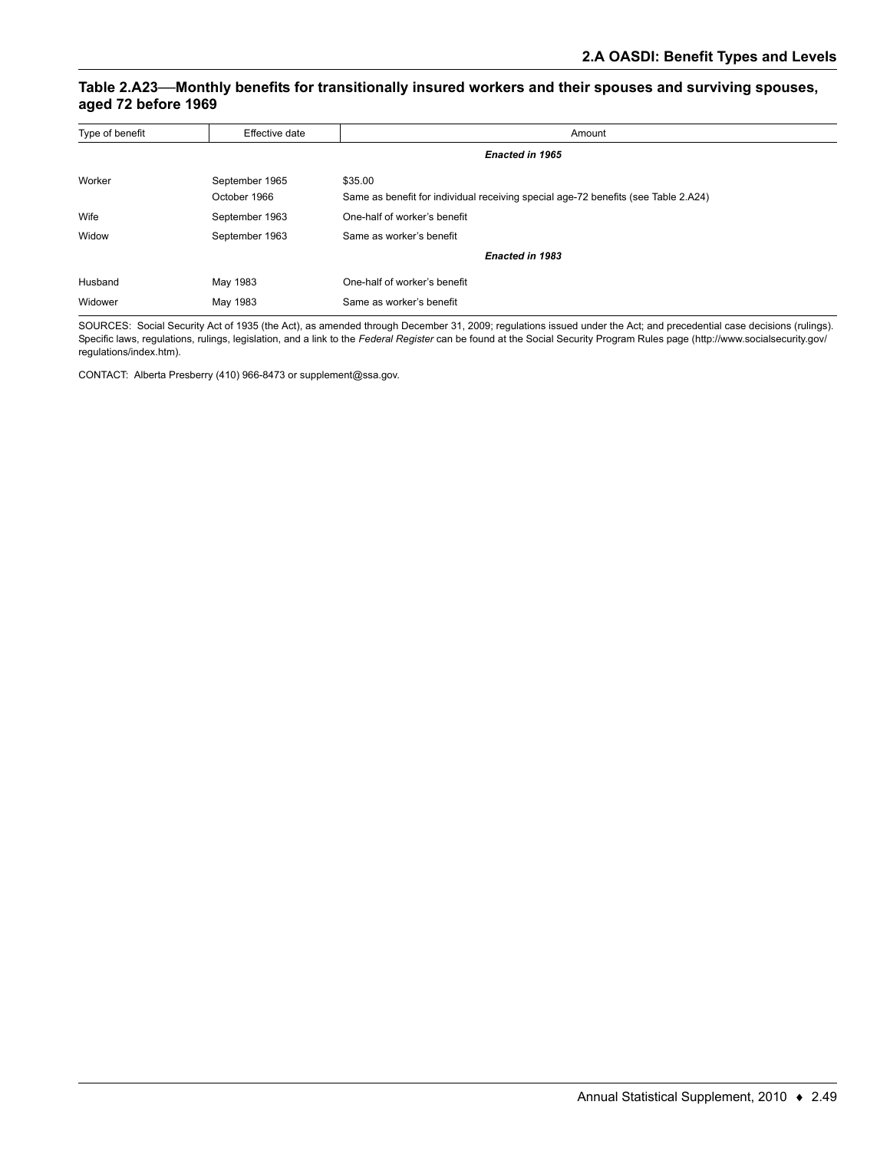### **Table 2.A23—Monthly benefits for transitionally insured workers and their spouses and surviving spouses, aged 72 before 1969**

| Type of benefit | Effective date | Amount                                                                             |
|-----------------|----------------|------------------------------------------------------------------------------------|
|                 |                | Enacted in 1965                                                                    |
| Worker          | September 1965 | \$35.00                                                                            |
|                 | October 1966   | Same as benefit for individual receiving special age-72 benefits (see Table 2.A24) |
| Wife            | September 1963 | One-half of worker's benefit                                                       |
| Widow           | September 1963 | Same as worker's benefit                                                           |
|                 |                | <b>Enacted in 1983</b>                                                             |
| Husband         | May 1983       | One-half of worker's benefit                                                       |
| Widower         | May 1983       | Same as worker's benefit                                                           |

SOURCES: Social Security Act of 1935 (the Act), as amended through December 31, 2009; regulations issued under the Act; and precedential case decisions (rulings). Specific laws, regulations, rulings, legislation, and a link to the *Federal Register* can be found at the Social Security Program Rules page (http://www.socialsecurity.gov/ regulations/index.htm).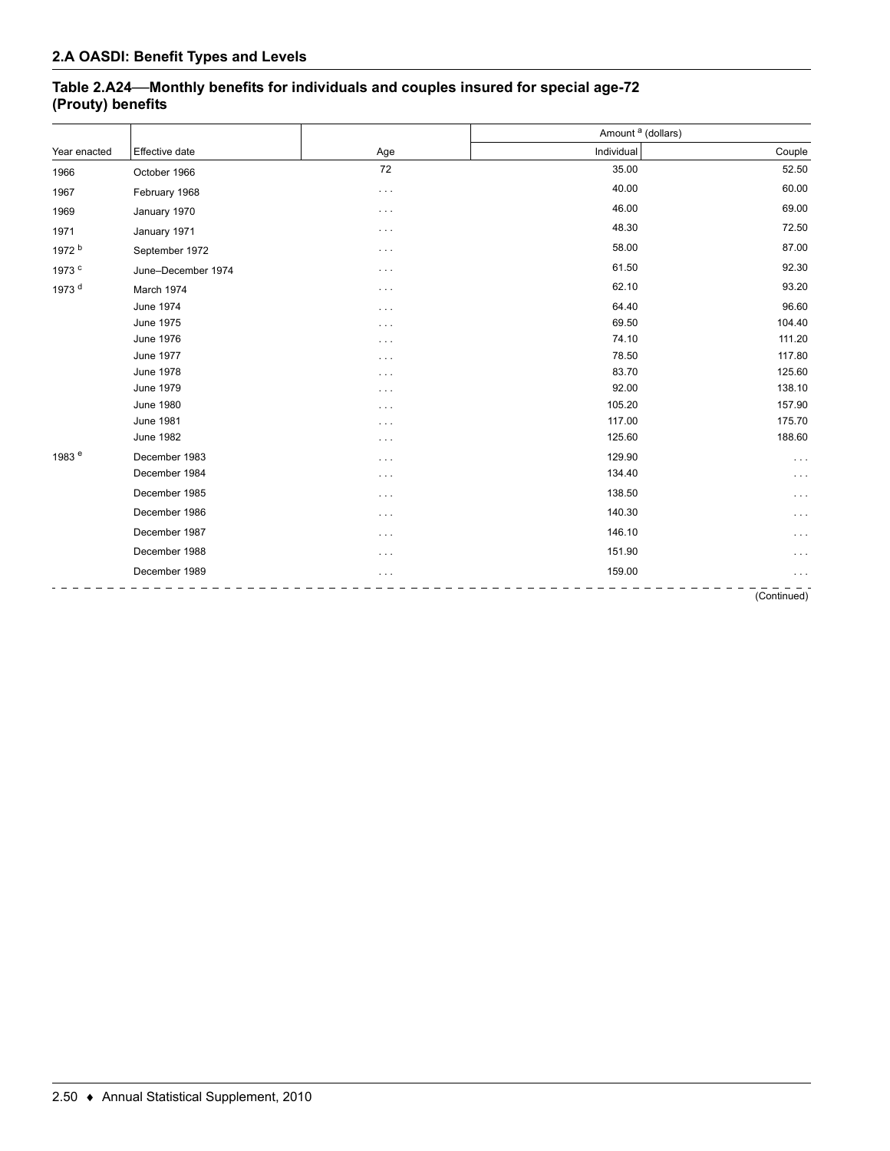## **Table 2.A24—Monthly benefits for individuals and couples insured for special age-72 (Prouty) benefits**

|                   |                    |          | Amount <sup>a</sup> (dollars) |          |
|-------------------|--------------------|----------|-------------------------------|----------|
| Year enacted      | Effective date     | Age      | Individual                    | Couple   |
| 1966              | October 1966       | 72       | 35.00                         | 52.50    |
| 1967              | February 1968      | $\cdots$ | 40.00                         | 60.00    |
| 1969              | January 1970       | $\cdots$ | 46.00                         | 69.00    |
| 1971              | January 1971       | $\cdots$ | 48.30                         | 72.50    |
| 1972 <sup>b</sup> | September 1972     | $\cdots$ | 58.00                         | 87.00    |
| 1973 <sup>c</sup> | June-December 1974 | $\cdots$ | 61.50                         | 92.30    |
| 1973 <sup>d</sup> | March 1974         | $\cdots$ | 62.10                         | 93.20    |
|                   | <b>June 1974</b>   | $\cdots$ | 64.40                         | 96.60    |
|                   | June 1975          | $\cdots$ | 69.50                         | 104.40   |
|                   | <b>June 1976</b>   | $\cdots$ | 74.10                         | 111.20   |
|                   | <b>June 1977</b>   | $\cdots$ | 78.50                         | 117.80   |
|                   | <b>June 1978</b>   | $\cdots$ | 83.70                         | 125.60   |
|                   | <b>June 1979</b>   | $\cdots$ | 92.00                         | 138.10   |
|                   | <b>June 1980</b>   | $\cdots$ | 105.20                        | 157.90   |
|                   | <b>June 1981</b>   | $\cdots$ | 117.00                        | 175.70   |
|                   | <b>June 1982</b>   | $\cdots$ | 125.60                        | 188.60   |
| 1983 <sup>e</sup> | December 1983      | $\cdots$ | 129.90                        | $\cdots$ |
|                   | December 1984      | $\cdots$ | 134.40                        | $\cdots$ |
|                   | December 1985      | $\cdots$ | 138.50                        | $\cdots$ |
|                   | December 1986      | $\cdots$ | 140.30                        | $\cdots$ |
|                   | December 1987      | $\cdots$ | 146.10                        | $\cdots$ |
|                   | December 1988      | $\cdots$ | 151.90                        | $\cdots$ |
|                   | December 1989      | $\cdots$ | 159.00                        | $\cdots$ |
|                   |                    |          |                               |          |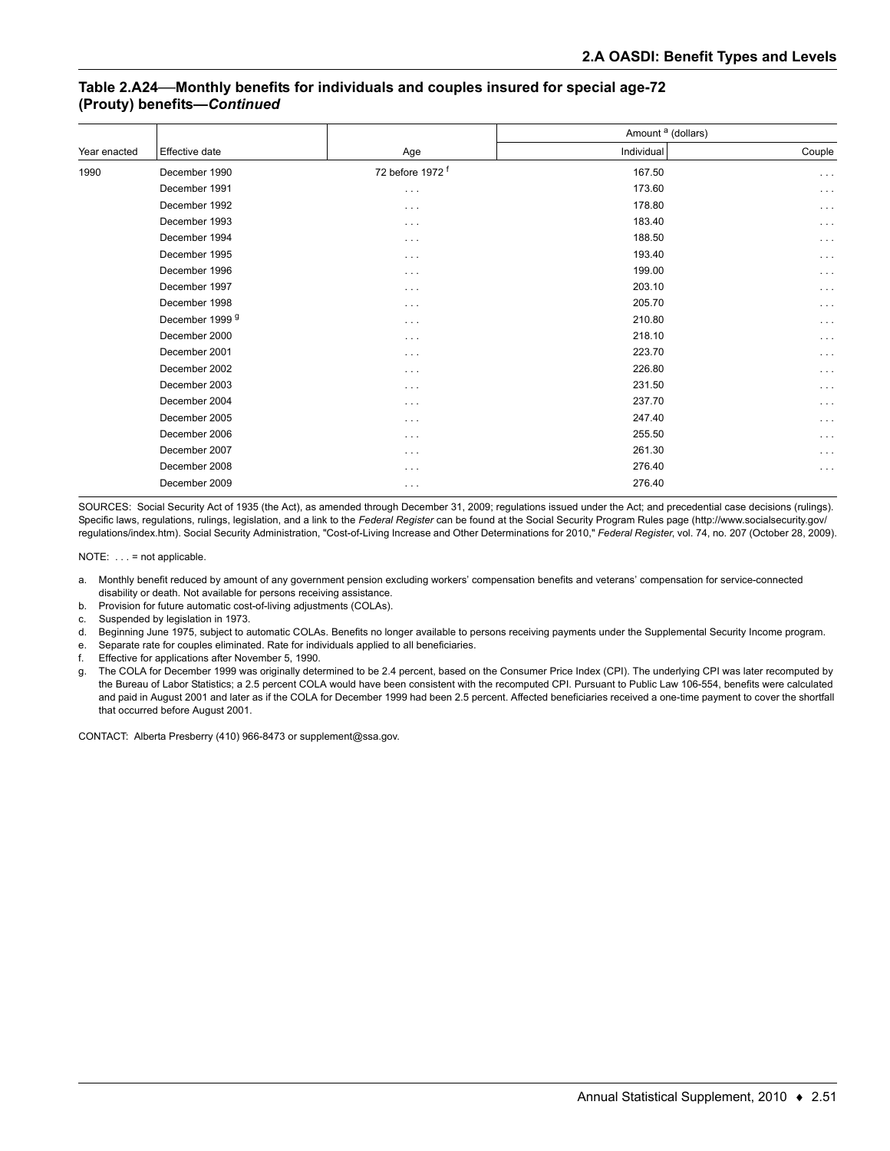#### **Table 2.A24—Monthly benefits for individuals and couples insured for special age-72 (Prouty) benefits—***Continued*

|                            |                             | Amount <sup>a</sup> (dollars) |                      |  |
|----------------------------|-----------------------------|-------------------------------|----------------------|--|
| Effective date             | Age                         | Individual                    | Couple               |  |
| December 1990              | 72 before 1972 <sup>f</sup> | 167.50                        | $\cdots$             |  |
| December 1991              | $\sim$ $\sim$ $\sim$        | 173.60                        | $\cdots$             |  |
| December 1992              | $\cdots$                    | 178.80                        | $\sim$ $\sim$ $\sim$ |  |
| December 1993              | $\cdots$                    | 183.40                        | $\cdots$             |  |
| December 1994              | $\cdots$                    | 188.50                        | $\cdots$             |  |
| December 1995              | $\cdots$                    | 193.40                        | $\cdots$             |  |
| December 1996              | $\cdots$                    | 199.00                        | $\sim$ $\sim$ $\sim$ |  |
| December 1997              | $\cdots$                    | 203.10                        | $\cdots$             |  |
| December 1998              | $\cdots$                    | 205.70                        | $\cdots$             |  |
| December 1999 <sup>9</sup> | $\cdots$                    | 210.80                        | $\cdots$             |  |
| December 2000              | $\cdots$                    | 218.10                        | $\cdots$             |  |
| December 2001              | $\cdots$                    | 223.70                        | $\cdots$             |  |
| December 2002              | $\sim$ $\sim$ $\sim$        | 226.80                        | $\cdots$             |  |
| December 2003              | $\cdots$                    | 231.50                        | $\sim$ $\sim$ $\sim$ |  |
| December 2004              | $\cdots$                    | 237.70                        | $\cdots$             |  |
| December 2005              | $\cdots$                    | 247.40                        | $\cdots$             |  |
| December 2006              | $\cdots$                    | 255.50                        | $\cdots$             |  |
| December 2007              | $\cdots$                    | 261.30                        | $\cdots$             |  |
| December 2008              | $\cdots$                    | 276.40                        | $\cdots$             |  |
| December 2009              | $\cdots$                    | 276.40                        |                      |  |
|                            |                             |                               |                      |  |

SOURCES: Social Security Act of 1935 (the Act), as amended through December 31, 2009; regulations issued under the Act; and precedential case decisions (rulings). Specific laws, regulations, rulings, legislation, and a link to the *Federal Register* can be found at the Social Security Program Rules page (http://www.socialsecurity.gov/ regulations/index.htm). Social Security Administration, "Cost-of-Living Increase and Other Determinations for 2010," *Federal Register*, vol. 74, no. 207 (October 28, 2009).

NOTE: . . . = not applicable.

- a. Monthly benefit reduced by amount of any government pension excluding workers' compensation benefits and veterans' compensation for service-connected disability or death. Not available for persons receiving assistance.
- b. Provision for future automatic cost-of-living adjustments (COLAs).
- c. Suspended by legislation in 1973.
- d. Beginning June 1975, subject to automatic COLAs. Benefits no longer available to persons receiving payments under the Supplemental Security Income program.
- e. Separate rate for couples eliminated. Rate for individuals applied to all beneficiaries.
- f. Effective for applications after November 5, 1990.
- g. The COLA for December 1999 was originally determined to be 2.4 percent, based on the Consumer Price Index (CPI). The underlying CPI was later recomputed by the Bureau of Labor Statistics; a 2.5 percent COLA would have been consistent with the recomputed CPI. Pursuant to Public Law 106-554, benefits were calculated and paid in August 2001 and later as if the COLA for December 1999 had been 2.5 percent. Affected beneficiaries received a one-time payment to cover the shortfall that occurred before August 2001.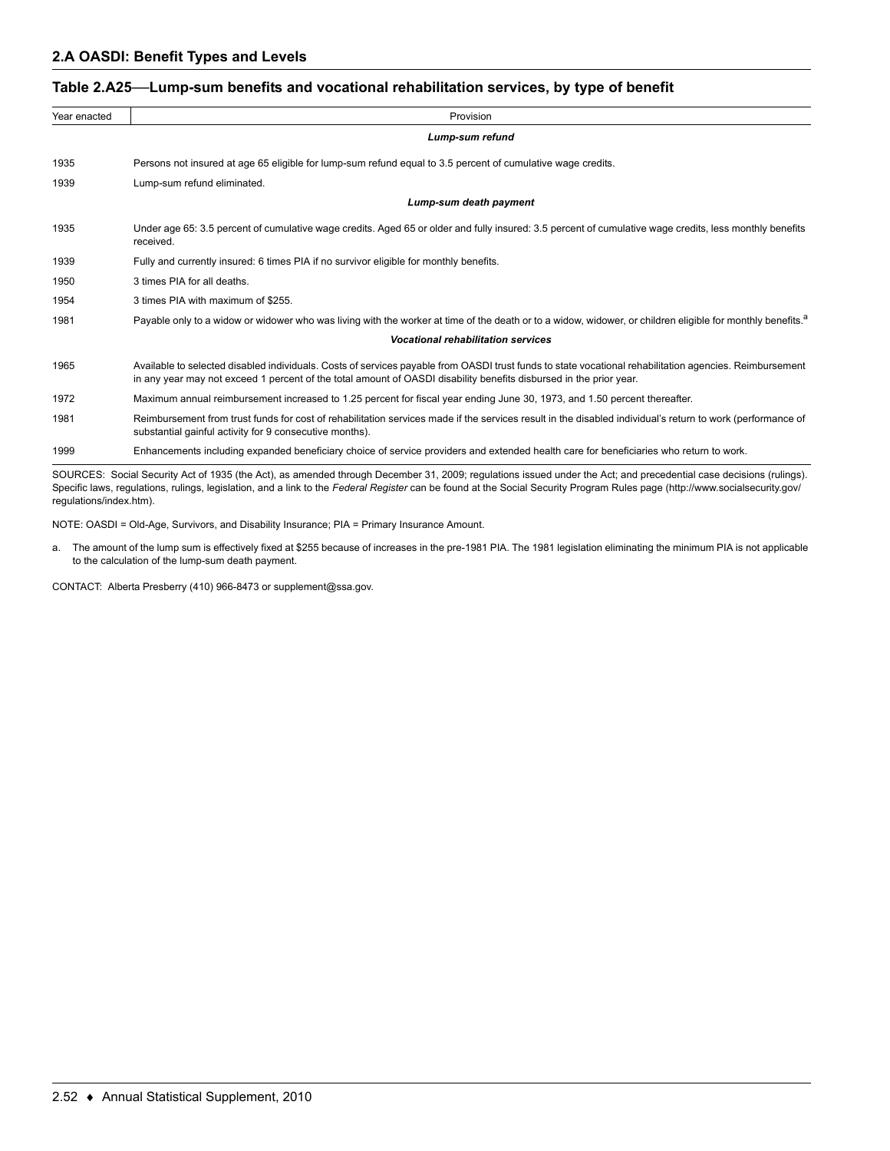#### **Table 2.A25—Lump-sum benefits and vocational rehabilitation services, by type of benefit**

| Year enacted | Provision                                                                                                                                                                                                                                                                                                   |  |  |  |  |  |
|--------------|-------------------------------------------------------------------------------------------------------------------------------------------------------------------------------------------------------------------------------------------------------------------------------------------------------------|--|--|--|--|--|
|              | Lump-sum refund                                                                                                                                                                                                                                                                                             |  |  |  |  |  |
| 1935         | Persons not insured at age 65 eligible for lump-sum refund equal to 3.5 percent of cumulative wage credits.                                                                                                                                                                                                 |  |  |  |  |  |
| 1939         | Lump-sum refund eliminated.                                                                                                                                                                                                                                                                                 |  |  |  |  |  |
|              | Lump-sum death payment                                                                                                                                                                                                                                                                                      |  |  |  |  |  |
| 1935         | Under age 65: 3.5 percent of cumulative wage credits. Aged 65 or older and fully insured: 3.5 percent of cumulative wage credits, less monthly benefits<br>received.                                                                                                                                        |  |  |  |  |  |
| 1939         | Fully and currently insured: 6 times PIA if no survivor eligible for monthly benefits.                                                                                                                                                                                                                      |  |  |  |  |  |
| 1950         | 3 times PIA for all deaths.                                                                                                                                                                                                                                                                                 |  |  |  |  |  |
| 1954         | 3 times PIA with maximum of \$255.                                                                                                                                                                                                                                                                          |  |  |  |  |  |
| 1981         | Payable only to a widow or widower who was living with the worker at time of the death or to a widow, widower, or children eligible for monthly benefits. <sup>a</sup>                                                                                                                                      |  |  |  |  |  |
|              | <b>Vocational rehabilitation services</b>                                                                                                                                                                                                                                                                   |  |  |  |  |  |
| 1965         | Available to selected disabled individuals. Costs of services payable from OASDI trust funds to state vocational rehabilitation agencies. Reimbursement<br>in any year may not exceed 1 percent of the total amount of OASDI disability benefits disbursed in the prior year.                               |  |  |  |  |  |
| 1972         | Maximum annual reimbursement increased to 1.25 percent for fiscal year ending June 30, 1973, and 1.50 percent thereafter.                                                                                                                                                                                   |  |  |  |  |  |
| 1981         | Reimbursement from trust funds for cost of rehabilitation services made if the services result in the disabled individual's return to work (performance of<br>substantial gainful activity for 9 consecutive months).                                                                                       |  |  |  |  |  |
| 1999         | Enhancements including expanded beneficiary choice of service providers and extended health care for beneficiaries who return to work.                                                                                                                                                                      |  |  |  |  |  |
|              | $\mathbf{r}$ , $\mathbf{r}$ , $\mathbf{r}$ , $\mathbf{r}$ , $\mathbf{r}$ , $\mathbf{r}$ , $\mathbf{r}$ , $\mathbf{r}$ , $\mathbf{r}$ , $\mathbf{r}$ , $\mathbf{r}$ , $\mathbf{r}$ , $\mathbf{r}$ , $\mathbf{r}$ , $\mathbf{r}$ , $\mathbf{r}$ , $\mathbf{r}$ , $\mathbf{r}$ , $\mathbf{r}$ , $\mathbf{r}$ , |  |  |  |  |  |

SOURCES: Social Security Act of 1935 (the Act), as amended through December 31, 2009; regulations issued under the Act; and precedential case decisions (rulings). Specific laws, regulations, rulings, legislation, and a link to the *Federal Register* can be found at the Social Security Program Rules page (http://www.socialsecurity.gov/ regulations/index.htm).

NOTE: OASDI = Old-Age, Survivors, and Disability Insurance; PIA = Primary Insurance Amount.

a. The amount of the lump sum is effectively fixed at \$255 because of increases in the pre-1981 PIA. The 1981 legislation eliminating the minimum PIA is not applicable to the calculation of the lump-sum death payment.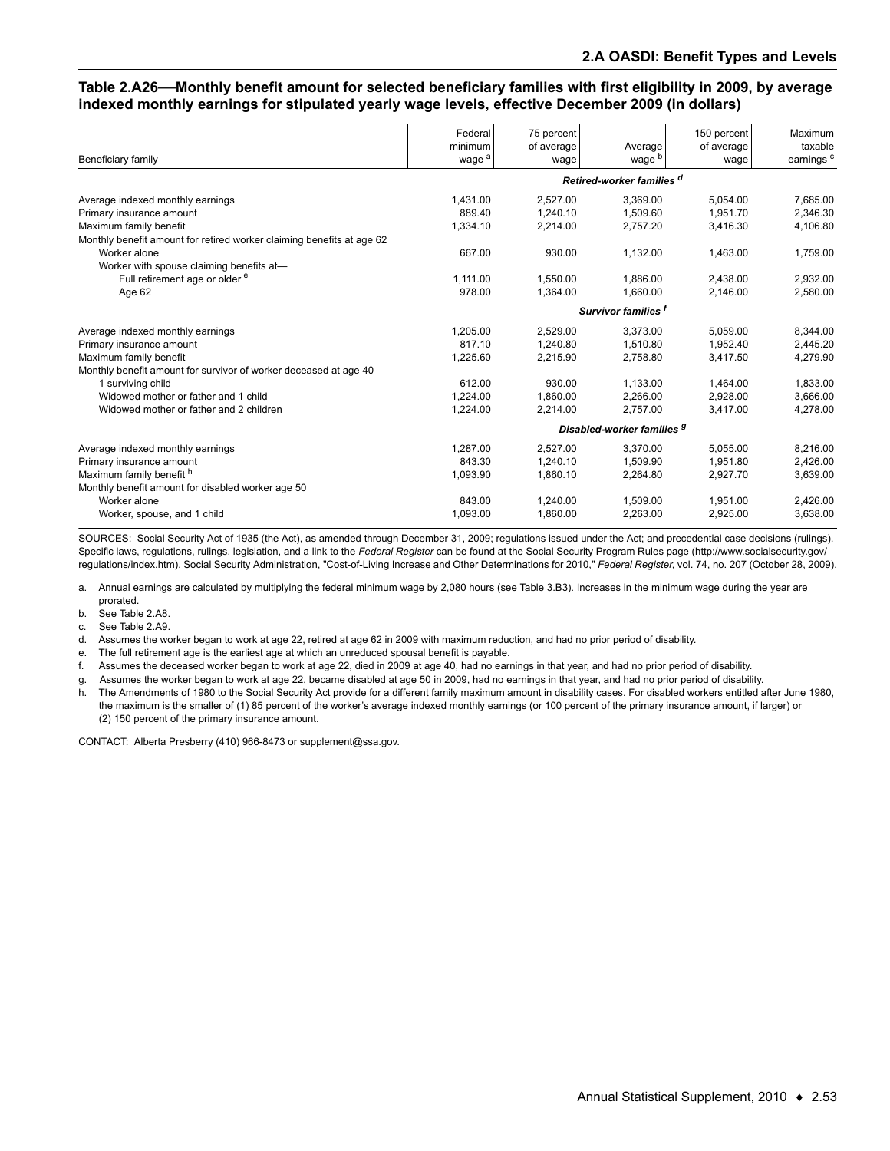#### **Table 2.A26—Monthly benefit amount for selected beneficiary families with first eligibility in 2009, by average indexed monthly earnings for stipulated yearly wage levels, effective December 2009 (in dollars)**

|                                                                       | Federal                        | 75 percent                 |                              | 150 percent        | Maximum                          |
|-----------------------------------------------------------------------|--------------------------------|----------------------------|------------------------------|--------------------|----------------------------------|
| Beneficiary family                                                    | minimum<br>wage <sup>a</sup>   | of average<br>wage         | Average<br>wage <sup>b</sup> | of average<br>wage | taxable<br>earnings <sup>c</sup> |
|                                                                       |                                |                            |                              |                    |                                  |
|                                                                       |                                |                            | Retired-worker families d    |                    |                                  |
| Average indexed monthly earnings                                      | 1,431.00                       | 2,527.00                   | 3,369.00                     | 5.054.00           | 7,685.00                         |
| Primary insurance amount                                              | 889.40                         | 1,240.10                   | 1,509.60                     | 1,951.70           | 2,346.30                         |
| Maximum family benefit                                                | 1,334.10                       | 2,214.00                   | 2,757.20                     | 3,416.30           | 4,106.80                         |
| Monthly benefit amount for retired worker claiming benefits at age 62 |                                |                            |                              |                    |                                  |
| Worker alone                                                          | 667.00                         | 930.00                     | 1,132.00                     | 1,463.00           | 1,759.00                         |
| Worker with spouse claiming benefits at-                              |                                |                            |                              |                    |                                  |
| Full retirement age or older <sup>e</sup>                             | 1.111.00                       | 1.550.00                   | 1.886.00                     | 2.438.00           | 2.932.00                         |
| Age 62                                                                | 978.00                         | 1,364.00                   | 1,660.00                     | 2,146.00           | 2,580.00                         |
|                                                                       | Survivor families <sup>f</sup> |                            |                              |                    |                                  |
| Average indexed monthly earnings                                      | 1,205.00                       | 2.529.00                   | 3,373.00                     | 5.059.00           | 8,344.00                         |
| Primary insurance amount                                              | 817.10                         | 1,240.80                   | 1,510.80                     | 1,952.40           | 2,445.20                         |
| Maximum family benefit                                                | 1,225.60                       | 2,215.90                   | 2,758.80                     | 3.417.50           | 4,279.90                         |
| Monthly benefit amount for survivor of worker deceased at age 40      |                                |                            |                              |                    |                                  |
| 1 surviving child                                                     | 612.00                         | 930.00                     | 1,133.00                     | 1.464.00           | 1,833.00                         |
| Widowed mother or father and 1 child                                  | 1,224.00                       | 1,860.00                   | 2,266.00                     | 2.928.00           | 3,666.00                         |
| Widowed mother or father and 2 children                               | 1,224.00                       | 2,214.00                   | 2,757.00                     | 3.417.00           | 4,278.00                         |
|                                                                       |                                | Disabled-worker families 9 |                              |                    |                                  |
| Average indexed monthly earnings                                      | 1,287.00                       | 2,527.00                   | 3,370.00                     | 5,055.00           | 8,216.00                         |
| Primary insurance amount                                              | 843.30                         | 1,240.10                   | 1.509.90                     | 1.951.80           | 2,426.00                         |
| Maximum family benefit h                                              | 1,093.90                       | 1,860.10                   | 2,264.80                     | 2,927.70           | 3,639.00                         |
| Monthly benefit amount for disabled worker age 50                     |                                |                            |                              |                    |                                  |
| Worker alone                                                          | 843.00                         | 1,240.00                   | 1,509.00                     | 1,951.00           | 2,426.00                         |
| Worker, spouse, and 1 child                                           | 1.093.00                       | 1.860.00                   | 2.263.00                     | 2.925.00           | 3,638.00                         |

SOURCES: Social Security Act of 1935 (the Act), as amended through December 31, 2009; regulations issued under the Act; and precedential case decisions (rulings). Specific laws, regulations, rulings, legislation, and a link to the *Federal Register* can be found at the Social Security Program Rules page (http://www.socialsecurity.gov/ regulations/index.htm). Social Security Administration, "Cost-of-Living Increase and Other Determinations for 2010," *Federal Register*, vol. 74, no. 207 (October 28, 2009).

a. Annual earnings are calculated by multiplying the federal minimum wage by 2,080 hours (see Table 3.B3). Increases in the minimum wage during the year are prorated.

- b. See Table 2.A8.
- c. See Table 2.A9.

d. Assumes the worker began to work at age 22, retired at age 62 in 2009 with maximum reduction, and had no prior period of disability.

e. The full retirement age is the earliest age at which an unreduced spousal benefit is payable.

f. Assumes the deceased worker began to work at age 22, died in 2009 at age 40, had no earnings in that year, and had no prior period of disability.

g. Assumes the worker began to work at age 22, became disabled at age 50 in 2009, had no earnings in that year, and had no prior period of disability.

h. The Amendments of 1980 to the Social Security Act provide for a different family maximum amount in disability cases. For disabled workers entitled after June 1980, the maximum is the smaller of (1) 85 percent of the worker's average indexed monthly earnings (or 100 percent of the primary insurance amount, if larger) or (2) 150 percent of the primary insurance amount.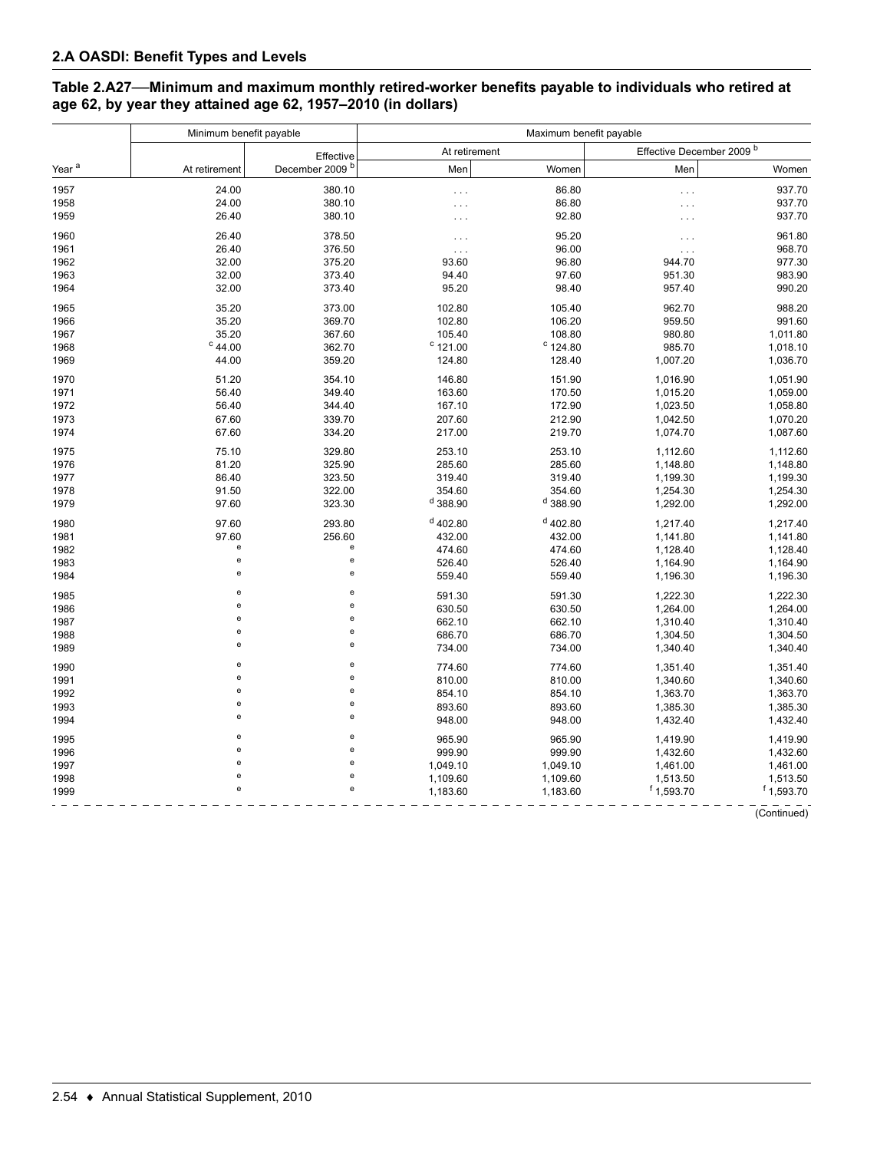### **Table 2.A27—Minimum and maximum monthly retired-worker benefits payable to individuals who retired at age 62, by year they attained age 62, 1957–2010 (in dollars)**

|                   | Minimum benefit payable                    |                            | Maximum benefit payable |            |                           |              |  |
|-------------------|--------------------------------------------|----------------------------|-------------------------|------------|---------------------------|--------------|--|
|                   |                                            | Effective                  | At retirement           |            | Effective December 2009 b |              |  |
| Year <sup>a</sup> | At retirement                              | December 2009 <sup>b</sup> | Men                     | Women      | Men                       | Women        |  |
| 1957              | 24.00                                      | 380.10                     | .                       | 86.80      | $\cdots$                  | 937.70       |  |
| 1958              | 24.00                                      | 380.10                     | .                       | 86.80      |                           | 937.70       |  |
| 1959              | 26.40                                      | 380.10                     | .                       | 92.80      |                           | 937.70       |  |
| 1960              | 26.40                                      | 378.50                     | .                       | 95.20      | $\ddotsc$                 | 961.80       |  |
| 1961              | 26.40                                      | 376.50                     | $\cdots$                | 96.00      | $\cdots$                  | 968.70       |  |
| 1962              | 32.00                                      | 375.20                     | 93.60                   | 96.80      | 944.70                    | 977.30       |  |
| 1963              | 32.00                                      | 373.40                     | 94.40                   | 97.60      | 951.30                    | 983.90       |  |
| 1964              | 32.00                                      | 373.40                     | 95.20                   | 98.40      | 957.40                    | 990.20       |  |
| 1965              | 35.20                                      | 373.00                     | 102.80                  | 105.40     | 962.70                    | 988.20       |  |
| 1966              | 35.20                                      | 369.70                     | 102.80                  | 106.20     | 959.50                    | 991.60       |  |
| 1967              | 35.20                                      | 367.60                     | 105.40                  | 108.80     | 980.80                    | 1,011.80     |  |
| 1968              | $c$ 44.00                                  | 362.70                     | $^{\circ}$ 121.00       | $C$ 124.80 | 985.70                    | 1,018.10     |  |
| 1969              | 44.00                                      | 359.20                     | 124.80                  | 128.40     | 1,007.20                  | 1,036.70     |  |
| 1970              | 51.20                                      | 354.10                     | 146.80                  | 151.90     | 1,016.90                  | 1,051.90     |  |
| 1971              | 56.40                                      | 349.40                     | 163.60                  | 170.50     | 1,015.20                  | 1,059.00     |  |
| 1972              | 56.40                                      | 344.40                     | 167.10                  | 172.90     | 1,023.50                  | 1,058.80     |  |
| 1973              | 67.60                                      | 339.70                     | 207.60                  | 212.90     | 1,042.50                  | 1,070.20     |  |
| 1974              | 67.60                                      | 334.20                     | 217.00                  | 219.70     | 1,074.70                  | 1,087.60     |  |
| 1975              | 75.10                                      | 329.80                     | 253.10                  | 253.10     | 1,112.60                  | 1,112.60     |  |
| 1976              | 81.20                                      | 325.90                     | 285.60                  | 285.60     | 1,148.80                  | 1,148.80     |  |
| 1977              | 86.40                                      | 323.50                     | 319.40                  | 319.40     | 1,199.30                  | 1,199.30     |  |
| 1978              | 91.50                                      | 322.00                     | 354.60                  | 354.60     | 1,254.30                  | 1,254.30     |  |
| 1979              | 97.60                                      | 323.30                     | $d$ 388.90              | $d$ 388.90 | 1,292.00                  | 1,292.00     |  |
| 1980              | 97.60                                      | 293.80                     | $d$ 402.80              | $d$ 402.80 | 1,217.40                  | 1,217.40     |  |
| 1981              | 97.60                                      | 256.60                     | 432.00                  | 432.00     | 1,141.80                  | 1,141.80     |  |
| 1982              | e                                          | e                          | 474.60                  | 474.60     | 1,128.40                  | 1,128.40     |  |
| 1983              | $\mathsf{e}% _{t}\left( t\right)$          | $\mathbf{e}$               | 526.40                  | 526.40     | 1,164.90                  | 1,164.90     |  |
| 1984              | e                                          | e                          | 559.40                  | 559.40     | 1,196.30                  | 1,196.30     |  |
| 1985              | e                                          | e                          | 591.30                  | 591.30     | 1,222.30                  | 1,222.30     |  |
| 1986              | $\mathsf{e}% _{t}\left( t\right)$          | e                          | 630.50                  | 630.50     | 1,264.00                  | 1,264.00     |  |
| 1987              | $\mathsf{e}% _{t}\left( t\right)$          | e                          | 662.10                  | 662.10     | 1,310.40                  | 1,310.40     |  |
| 1988              | $\mathsf{e}% _{t}\left( t\right)$          | e                          | 686.70                  | 686.70     | 1,304.50                  | 1,304.50     |  |
| 1989              | $\mathsf{e}% _{t}\left( t\right)$          | e                          | 734.00                  | 734.00     | 1,340.40                  | 1,340.40     |  |
| 1990              | e                                          | e                          | 774.60                  | 774.60     | 1,351.40                  | 1,351.40     |  |
| 1991              | $\mathsf{e}% _{0}\left( \mathsf{e}\right)$ | e                          | 810.00                  | 810.00     | 1,340.60                  | 1,340.60     |  |
| 1992              | $\mathsf{e}% _{t}\left( t\right)$          | e                          | 854.10                  | 854.10     | 1,363.70                  | 1,363.70     |  |
| 1993              | e                                          | e                          | 893.60                  | 893.60     | 1,385.30                  | 1,385.30     |  |
| 1994              | $\mathsf{e}% _{t}\left( t\right)$          | e                          | 948.00                  | 948.00     | 1,432.40                  | 1,432.40     |  |
| 1995              | e                                          | e                          | 965.90                  | 965.90     | 1,419.90                  | 1,419.90     |  |
| 1996              | е                                          | e                          | 999.90                  | 999.90     | 1,432.60                  | 1,432.60     |  |
| 1997              | $\mathsf{e}% _{t}\left( t\right)$          | $\mathbf{e}$               | 1,049.10                | 1,049.10   | 1,461.00                  | 1,461.00     |  |
| 1998              | $\mathsf{e}% _{0}\left( \mathsf{e}\right)$ | e                          | 1,109.60                | 1,109.60   | 1,513.50                  | 1,513.50     |  |
| 1999              | $\mathsf{e}% _{t}\left( t\right)$          | e                          | 1,183.60                | 1,183.60   | $f$ 1,593.70              | $f$ 1,593.70 |  |
|                   |                                            |                            |                         |            |                           |              |  |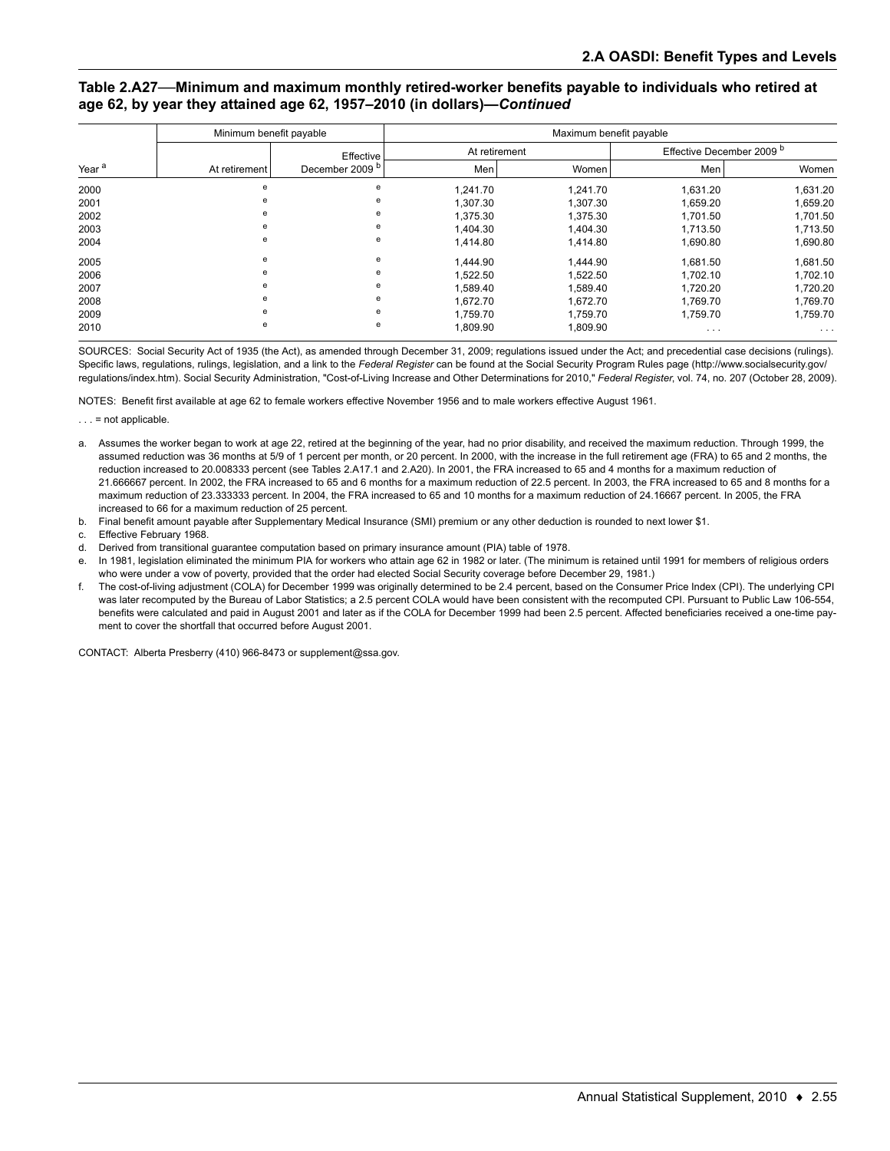#### **Table 2.A27—Minimum and maximum monthly retired-worker benefits payable to individuals who retired at age 62, by year they attained age 62, 1957–2010 (in dollars)—***Continued*

|                   | Minimum benefit payable |                            | Maximum benefit payable |          |                                      |          |  |
|-------------------|-------------------------|----------------------------|-------------------------|----------|--------------------------------------|----------|--|
|                   |                         | Effective                  | At retirement           |          | Effective December 2009 <sup>b</sup> |          |  |
| Year <sup>a</sup> | At retirement           | December 2009 <sup>b</sup> | Men                     | Women    | Men                                  | Women    |  |
| 2000              | e                       | e                          | 1,241.70                | 1.241.70 | 1,631.20                             | 1,631.20 |  |
| 2001              | e                       | e                          | 1,307.30                | 1,307.30 | 1,659.20                             | 1,659.20 |  |
| 2002              | e                       | e                          | 1,375.30                | 1,375.30 | 1,701.50                             | 1,701.50 |  |
| 2003              | e                       | e                          | 1.404.30                | 1.404.30 | 1,713.50                             | 1,713.50 |  |
| 2004              | e                       | e                          | 1,414.80                | 1,414.80 | 1,690.80                             | 1,690.80 |  |
| 2005              | e                       | е                          | 1,444.90                | 1,444.90 | 1,681.50                             | 1,681.50 |  |
| 2006              | е                       | e                          | 1,522.50                | 1,522.50 | 1,702.10                             | 1,702.10 |  |
| 2007              | e                       | е                          | 1,589.40                | 1,589.40 | 1,720.20                             | 1,720.20 |  |
| 2008              | e                       | e                          | 1,672.70                | 1,672.70 | 1,769.70                             | 1,769.70 |  |
| 2009              | e                       | e                          | 1,759.70                | 1.759.70 | 1,759.70                             | 1,759.70 |  |
| 2010              | е                       | е                          | 1,809.90                | 1,809.90 | $\cdots$                             | $\cdots$ |  |

SOURCES: Social Security Act of 1935 (the Act), as amended through December 31, 2009; regulations issued under the Act; and precedential case decisions (rulings). Specific laws, regulations, rulings, legislation, and a link to the *Federal Register* can be found at the Social Security Program Rules page (http://www.socialsecurity.gov/ regulations/index.htm). Social Security Administration, "Cost-of-Living Increase and Other Determinations for 2010," *Federal Register*, vol. 74, no. 207 (October 28, 2009).

NOTES: Benefit first available at age 62 to female workers effective November 1956 and to male workers effective August 1961.

 $\ldots$  = not applicable.

- a. Assumes the worker began to work at age 22, retired at the beginning of the year, had no prior disability, and received the maximum reduction. Through 1999, the assumed reduction was 36 months at 5/9 of 1 percent per month, or 20 percent. In 2000, with the increase in the full retirement age (FRA) to 65 and 2 months, the reduction increased to 20.008333 percent (see Tables 2.A17.1 and 2.A20). In 2001, the FRA increased to 65 and 4 months for a maximum reduction of 21.666667 percent. In 2002, the FRA increased to 65 and 6 months for a maximum reduction of 22.5 percent. In 2003, the FRA increased to 65 and 8 months for a maximum reduction of 23.333333 percent. In 2004, the FRA increased to 65 and 10 months for a maximum reduction of 24.16667 percent. In 2005, the FRA increased to 66 for a maximum reduction of 25 percent.
- b. Final benefit amount payable after Supplementary Medical Insurance (SMI) premium or any other deduction is rounded to next lower \$1.

c. Effective February 1968.

d. Derived from transitional guarantee computation based on primary insurance amount (PIA) table of 1978.

e. In 1981, legislation eliminated the minimum PIA for workers who attain age 62 in 1982 or later. (The minimum is retained until 1991 for members of religious orders who were under a vow of poverty, provided that the order had elected Social Security coverage before December 29, 1981.)

f. The cost-of-living adjustment (COLA) for December 1999 was originally determined to be 2.4 percent, based on the Consumer Price Index (CPI). The underlying CPI was later recomputed by the Bureau of Labor Statistics; a 2.5 percent COLA would have been consistent with the recomputed CPI. Pursuant to Public Law 106-554, benefits were calculated and paid in August 2001 and later as if the COLA for December 1999 had been 2.5 percent. Affected beneficiaries received a one-time payment to cover the shortfall that occurred before August 2001.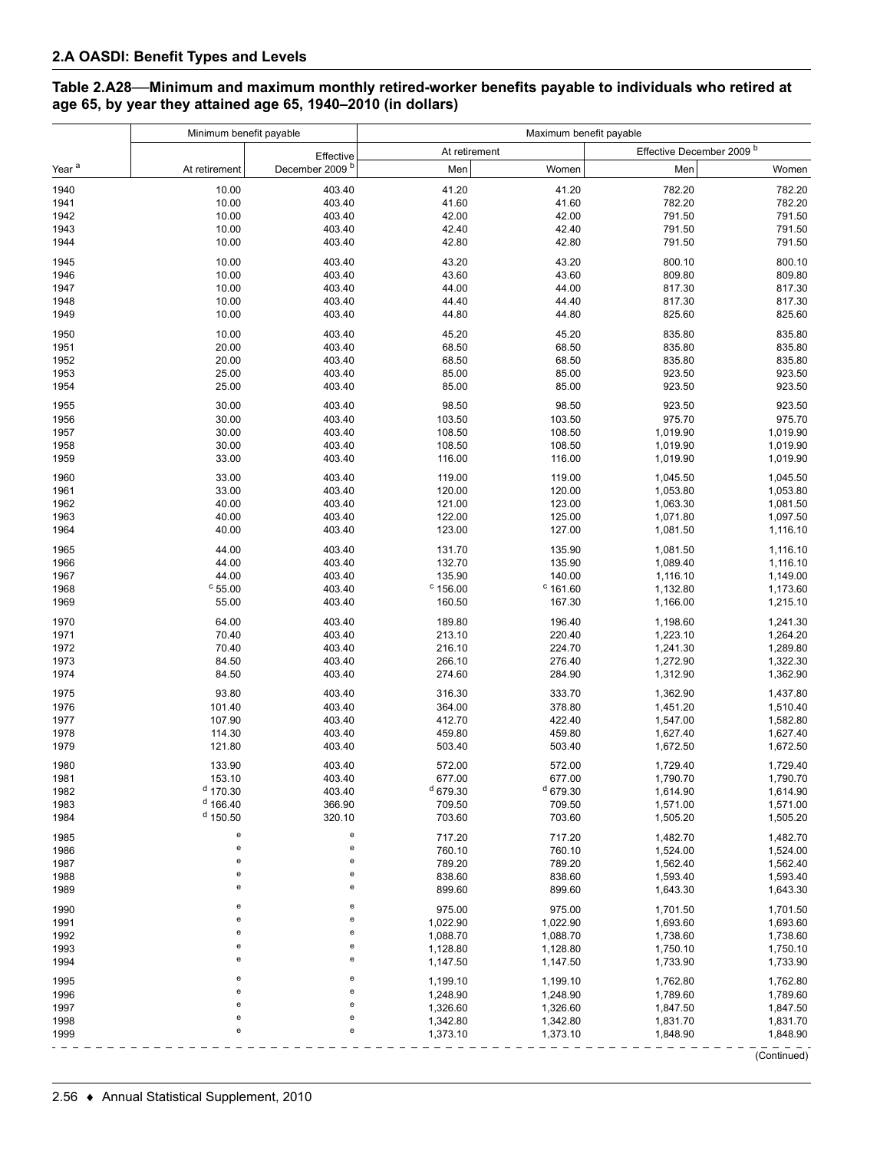### **Table 2.A28—Minimum and maximum monthly retired-worker benefits payable to individuals who retired at age 65, by year they attained age 65, 1940–2010 (in dollars)**

|                   | Minimum benefit payable                    |                            | Maximum benefit payable     |                      |                                      |                      |
|-------------------|--------------------------------------------|----------------------------|-----------------------------|----------------------|--------------------------------------|----------------------|
|                   |                                            | Effective                  |                             | At retirement        | Effective December 2009 <sup>b</sup> |                      |
| Year <sup>a</sup> | At retirement                              | December 2009 <sup>b</sup> | Men                         | Women                | Men                                  | Women                |
| 1940              | 10.00                                      | 403.40                     | 41.20                       | 41.20                | 782.20                               | 782.20               |
| 1941              | 10.00                                      | 403.40                     | 41.60                       | 41.60                | 782.20                               | 782.20               |
| 1942              | 10.00                                      | 403.40                     | 42.00                       | 42.00                | 791.50                               | 791.50               |
| 1943              | 10.00                                      | 403.40                     | 42.40                       | 42.40                | 791.50                               | 791.50               |
| 1944              | 10.00                                      | 403.40                     | 42.80                       | 42.80                | 791.50                               | 791.50               |
|                   |                                            |                            |                             |                      |                                      |                      |
| 1945              | 10.00                                      | 403.40                     | 43.20                       | 43.20                | 800.10                               | 800.10               |
| 1946              | 10.00                                      | 403.40                     | 43.60                       | 43.60                | 809.80                               | 809.80               |
| 1947              | 10.00                                      | 403.40                     | 44.00                       | 44.00                | 817.30                               | 817.30               |
| 1948              | 10.00                                      | 403.40                     | 44.40                       | 44.40                | 817.30                               | 817.30               |
| 1949              | 10.00                                      | 403.40                     | 44.80                       | 44.80                | 825.60                               | 825.60               |
| 1950              | 10.00                                      | 403.40                     | 45.20                       | 45.20                | 835.80                               | 835.80               |
| 1951              | 20.00                                      | 403.40                     | 68.50                       | 68.50                | 835.80                               | 835.80               |
| 1952              | 20.00                                      | 403.40                     | 68.50                       | 68.50                | 835.80                               | 835.80               |
| 1953              | 25.00                                      | 403.40                     | 85.00                       | 85.00                | 923.50                               | 923.50               |
| 1954              | 25.00                                      | 403.40                     | 85.00                       | 85.00                | 923.50                               | 923.50               |
| 1955              | 30.00                                      | 403.40                     | 98.50                       | 98.50                | 923.50                               | 923.50               |
| 1956              | 30.00                                      | 403.40                     | 103.50                      | 103.50               | 975.70                               | 975.70               |
| 1957              | 30.00                                      | 403.40                     | 108.50                      | 108.50               | 1,019.90                             | 1,019.90             |
| 1958              | 30.00                                      | 403.40                     | 108.50                      | 108.50               | 1,019.90                             | 1,019.90             |
| 1959              | 33.00                                      | 403.40                     | 116.00                      | 116.00               | 1,019.90                             | 1,019.90             |
| 1960              | 33.00                                      | 403.40                     | 119.00                      | 119.00               | 1,045.50                             | 1,045.50             |
| 1961              | 33.00                                      | 403.40                     | 120.00                      | 120.00               | 1,053.80                             | 1,053.80             |
| 1962              | 40.00                                      | 403.40                     | 121.00                      | 123.00               | 1,063.30                             | 1,081.50             |
| 1963              | 40.00                                      | 403.40                     | 122.00                      | 125.00               | 1,071.80                             | 1,097.50             |
| 1964              | 40.00                                      | 403.40                     | 123.00                      | 127.00               | 1,081.50                             | 1,116.10             |
| 1965              |                                            | 403.40                     |                             |                      |                                      |                      |
|                   | 44.00                                      |                            | 131.70                      | 135.90               | 1,081.50                             | 1,116.10             |
| 1966              | 44.00                                      | 403.40                     | 132.70                      | 135.90               | 1,089.40                             | 1,116.10             |
| 1967              | 44.00                                      | 403.40                     | 135.90                      | 140.00               | 1,116.10                             | 1,149.00             |
| 1968<br>1969      | $^{\circ}$ 55.00<br>55.00                  | 403.40<br>403.40           | $^{\circ}$ 156.00<br>160.50 | $c$ 161.60<br>167.30 | 1,132.80<br>1,166.00                 | 1,173.60<br>1,215.10 |
| 1970              | 64.00                                      | 403.40                     | 189.80                      | 196.40               | 1,198.60                             | 1,241.30             |
| 1971              | 70.40                                      | 403.40                     | 213.10                      | 220.40               | 1,223.10                             | 1,264.20             |
| 1972              | 70.40                                      | 403.40                     | 216.10                      | 224.70               | 1,241.30                             | 1,289.80             |
| 1973              | 84.50                                      | 403.40                     | 266.10                      | 276.40               |                                      | 1,322.30             |
| 1974              | 84.50                                      | 403.40                     | 274.60                      | 284.90               | 1,272.90<br>1,312.90                 | 1,362.90             |
|                   |                                            |                            |                             | 333.70               |                                      |                      |
| 1975              | 93.80                                      | 403.40                     | 316.30                      |                      | 1,362.90                             | 1,437.80             |
| 1976              | 101.40                                     | 403.40                     | 364.00                      | 378.80               | 1,451.20                             | 1,510.40             |
| 1977              | 107.90                                     | 403.40                     | 412.70                      | 422.40               | 1,547.00                             | 1,582.80             |
| 1978              | 114.30                                     | 403.40                     | 459.80                      | 459.80               | 1,627.40                             | 1,627.40             |
| 1979              | 121.80                                     | 403.40                     | 503.40                      | 503.40               | 1,672.50                             | 1,672.50             |
| 1980              | 133.90                                     | 403.40                     | 572.00                      | 572.00               | 1,729.40                             | 1,729.40             |
| 1981              | 153.10                                     | 403.40                     | 677.00                      | 677.00               | 1,790.70                             | 1,790.70             |
| 1982              | $d$ 170.30                                 | 403.40                     | $d$ 679.30                  | $d$ 679.30           | 1,614.90                             | 1,614.90             |
| 1983              | $d$ 166.40                                 | 366.90                     | 709.50                      | 709.50               | 1,571.00                             | 1,571.00             |
| 1984              | $d$ 150.50                                 | 320.10                     | 703.60                      | 703.60               | 1,505.20                             | 1,505.20             |
| 1985              | e                                          | e                          | 717.20                      | 717.20               | 1,482.70                             | 1,482.70             |
| 1986              | $\mathsf{e}% _{0}\left( \mathsf{e}\right)$ | e                          | 760.10                      | 760.10               | 1,524.00                             | 1,524.00             |
| 1987              | $\mathsf{e}% _{0}\left( \mathsf{e}\right)$ | e                          | 789.20                      | 789.20               | 1,562.40                             | 1,562.40             |
| 1988              | $\mathsf{e}% _{0}\left( \mathsf{e}\right)$ | e                          | 838.60                      | 838.60               | 1,593.40                             | 1,593.40             |
| 1989              | $\mathsf{e}% _{0}\left( \mathsf{e}\right)$ | e                          | 899.60                      | 899.60               | 1,643.30                             | 1,643.30             |
| 1990              | $\mathsf{e}% _{0}\left( \mathsf{e}\right)$ | e                          | 975.00                      | 975.00               | 1,701.50                             | 1,701.50             |
| 1991              | $\mathsf{e}% _{0}\left( \mathsf{e}\right)$ | e                          | 1,022.90                    | 1,022.90             | 1,693.60                             | 1,693.60             |
| 1992              | ${\bf e}$                                  | e                          | 1,088.70                    | 1,088.70             | 1,738.60                             | 1,738.60             |
| 1993              | $\mathsf{e}% _{0}\left( \mathsf{e}\right)$ | e                          | 1,128.80                    | 1,128.80             | 1,750.10                             | 1,750.10             |
| 1994              | $\mathsf{e}% _{0}\left( \mathsf{e}\right)$ | e                          | 1,147.50                    | 1,147.50             | 1,733.90                             | 1,733.90             |
| 1995              | e                                          | e                          | 1,199.10                    | 1,199.10             | 1,762.80                             | 1,762.80             |
| 1996              | e                                          | e                          | 1,248.90                    | 1,248.90             | 1,789.60                             | 1,789.60             |
| 1997              | e                                          | e                          | 1,326.60                    | 1,326.60             | 1,847.50                             | 1,847.50             |
| 1998              | $\mathsf{e}% _{0}\left( \mathsf{e}\right)$ | e                          | 1,342.80                    | 1,342.80             | 1,831.70                             | 1,831.70             |
| 1999              | e                                          | e                          | 1,373.10                    | 1,373.10             | 1,848.90                             | 1,848.90             |
|                   |                                            |                            |                             |                      |                                      |                      |
|                   |                                            |                            |                             |                      |                                      | (Continued)          |